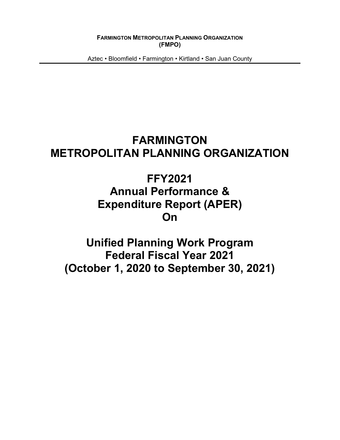**FARMINGTON METROPOLITAN PLANNING ORGANIZATION (FMPO)**

Aztec • Bloomfield • Farmington • Kirtland • San Juan County

# **FARMINGTON METROPOLITAN PLANNING ORGANIZATION**

# **FFY2021 Annual Performance & Expenditure Report (APER) On**

**Unified Planning Work Program Federal Fiscal Year 2021 (October 1, 2020 to September 30, 2021)**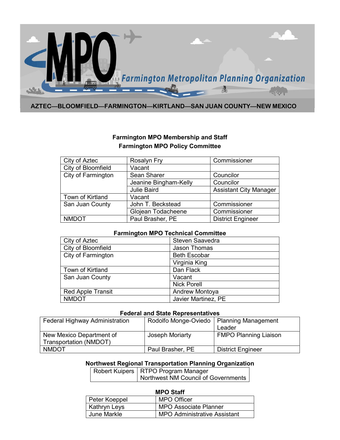

#### **AZTEC—BLOOMFIELD—FARMINGTON—KIRTLAND—SAN JUAN COUNTY—NEW MEXICO**

## **Farmington MPO Membership and Staff Farmington MPO Policy Committee**

| City of Aztec      | Rosalyn Fry           | Commissioner                  |
|--------------------|-----------------------|-------------------------------|
| City of Bloomfield | Vacant                |                               |
| City of Farmington | Sean Sharer           | Councilor                     |
|                    | Jeanine Bingham-Kelly | Councilor                     |
|                    | <b>Julie Baird</b>    | <b>Assistant City Manager</b> |
| Town of Kirtland   | Vacant                |                               |
| San Juan County    | John T. Beckstead     | Commissioner                  |
|                    | Glojean Todacheene    | Commissioner                  |
| <b>NMDOT</b>       | Paul Brasher, PE      | <b>District Engineer</b>      |

#### **Farmington MPO Technical Committee**

| City of Aztec            | Steven Saavedra       |
|--------------------------|-----------------------|
| City of Bloomfield       | <b>Jason Thomas</b>   |
| City of Farmington       | <b>Beth Escobar</b>   |
|                          | Virginia King         |
| Town of Kirtland         | Dan Flack             |
| San Juan County          | Vacant                |
|                          | <b>Nick Porell</b>    |
| <b>Red Apple Transit</b> | <b>Andrew Montoya</b> |
| <b>NMDOT</b>             | Javier Martinez, PE   |

#### **Federal and State Representatives**

| <b>Federal Highway Administration</b> | Rodolfo Monge-Oviedo | <b>Planning Management</b>   |
|---------------------------------------|----------------------|------------------------------|
|                                       |                      | Leader                       |
| New Mexico Department of              | Joseph Moriarty      | <b>FMPO Planning Liaison</b> |
| Transportation (NMDOT)                |                      |                              |
| <b>NMDOT</b>                          | Paul Brasher, PE     | <b>District Engineer</b>     |

## **Northwest Regional Transportation Planning Organization**

| Robert Kuipers   RTPO Program Manager |
|---------------------------------------|
| Northwest NM Council of Governments   |

| MPU SIAIT     |                                     |  |  |  |  |  |  |  |  |  |  |
|---------------|-------------------------------------|--|--|--|--|--|--|--|--|--|--|
| Peter Koeppel | MPO Officer                         |  |  |  |  |  |  |  |  |  |  |
| Kathryn Leys  | <b>MPO Associate Planner</b>        |  |  |  |  |  |  |  |  |  |  |
| June Markle   | <b>MPO Administrative Assistant</b> |  |  |  |  |  |  |  |  |  |  |

#### **MPO Staff**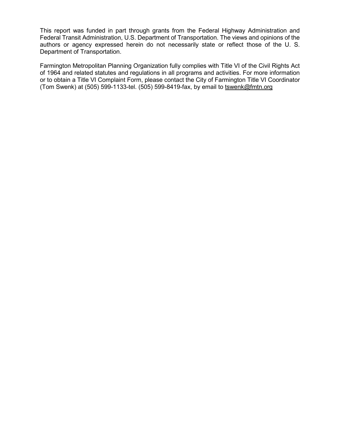This report was funded in part through grants from the Federal Highway Administration and Federal Transit Administration, U.S. Department of Transportation. The views and opinions of the authors or agency expressed herein do not necessarily state or reflect those of the U. S. Department of Transportation.

Farmington Metropolitan Planning Organization fully complies with Title VI of the Civil Rights Act of 1964 and related statutes and regulations in all programs and activities. For more information or to obtain a Title VI Complaint Form, please contact the City of Farmington Title VI Coordinator (Tom Swenk) at (505) 599-1133-tel. (505) 599-8419-fax, by email to [tswenk@f](mailto:tswenk@)mtn.org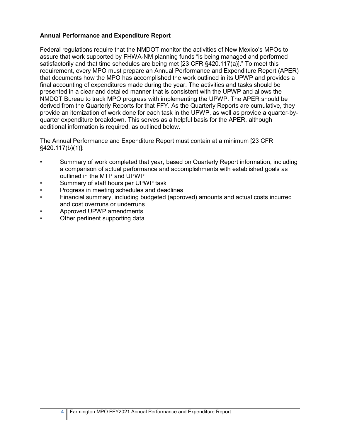## **Annual Performance and Expenditure Report**

Federal regulations require that the NMDOT monitor the activities of New Mexico's MPOs to assure that work supported by FHWA-NM planning funds "is being managed and performed satisfactorily and that time schedules are being met [23 CFR §420.117(a)]." To meet this requirement, every MPO must prepare an Annual Performance and Expenditure Report (APER) that documents how the MPO has accomplished the work outlined in its UPWP and provides a final accounting of expenditures made during the year. The activities and tasks should be presented in a clear and detailed manner that is consistent with the UPWP and allows the NMDOT Bureau to track MPO progress with implementing the UPWP. The APER should be derived from the Quarterly Reports for that FFY. As the Quarterly Reports are cumulative, they provide an itemization of work done for each task in the UPWP, as well as provide a quarter-byquarter expenditure breakdown. This serves as a helpful basis for the APER, although additional information is required, as outlined below.

The Annual Performance and Expenditure Report must contain at a minimum [23 CFR §420.117(b)(1)]:

- Summary of work completed that year, based on Quarterly Report information, including a comparison of actual performance and accomplishments with established goals as outlined in the MTP and UPWP
- Summary of staff hours per UPWP task
- Progress in meeting schedules and deadlines
- Financial summary, including budgeted (approved) amounts and actual costs incurred and cost overruns or underruns
- Approved UPWP amendments
- Other pertinent supporting data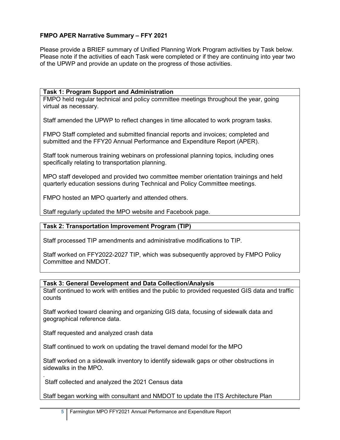## **FMPO APER Narrative Summary – FFY 2021**

Please provide a BRIEF summary of Unified Planning Work Program activities by Task below. Please note if the activities of each Task were completed or if they are continuing into year two of the UPWP and provide an update on the progress of those activities.

## **Task 1: Program Support and Administration**

FMPO held regular technical and policy committee meetings throughout the year, going virtual as necessary.

Staff amended the UPWP to reflect changes in time allocated to work program tasks.

FMPO Staff completed and submitted financial reports and invoices; completed and submitted and the FFY20 Annual Performance and Expenditure Report (APER).

Staff took numerous training webinars on professional planning topics, including ones specifically relating to transportation planning.

MPO staff developed and provided two committee member orientation trainings and held quarterly education sessions during Technical and Policy Committee meetings.

FMPO hosted an MPO quarterly and attended others.

Staff regularly updated the MPO website and Facebook page.

## **Task 2: Transportation Improvement Program (TIP)**

Staff processed TIP amendments and administrative modifications to TIP.

Staff worked on FFY2022-2027 TIP, which was subsequently approved by FMPO Policy Committee and NMDOT.

#### **Task 3: General Development and Data Collection/Analysis**

Staff continued to work with entities and the public to provided requested GIS data and traffic counts

Staff worked toward cleaning and organizing GIS data, focusing of sidewalk data and geographical reference data.

Staff requested and analyzed crash data

Staff continued to work on updating the travel demand model for the MPO

Staff worked on a sidewalk inventory to identify sidewalk gaps or other obstructions in sidewalks in the MPO.

. Staff collected and analyzed the 2021 Census data

Staff began working with consultant and NMDOT to update the ITS Architecture Plan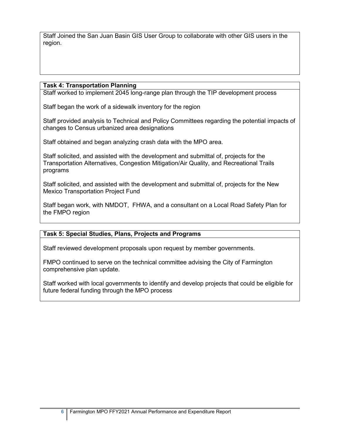Staff Joined the San Juan Basin GIS User Group to collaborate with other GIS users in the region.

#### **Task 4: Transportation Planning**

Staff worked to implement 2045 long-range plan through the TIP development process

Staff began the work of a sidewalk inventory for the region

Staff provided analysis to Technical and Policy Committees regarding the potential impacts of changes to Census urbanized area designations

Staff obtained and began analyzing crash data with the MPO area.

Staff solicited, and assisted with the development and submittal of, projects for the Transportation Alternatives, Congestion Mitigation/Air Quality, and Recreational Trails programs

Staff solicited, and assisted with the development and submittal of, projects for the New Mexico Transportation Project Fund

Staff began work, with NMDOT, FHWA, and a consultant on a Local Road Safety Plan for the FMPO region

## **Task 5: Special Studies, Plans, Projects and Programs**

Staff reviewed development proposals upon request by member governments.

FMPO continued to serve on the technical committee advising the City of Farmington comprehensive plan update.

Staff worked with local governments to identify and develop projects that could be eligible for future federal funding through the MPO process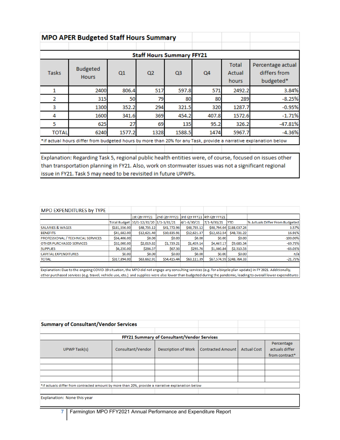|              | <b>MPO APER Budgeted Staff Hours Summary</b>                                                                     |        |                                  |                |       |                                                                                                            |                   |  |  |  |  |  |  |  |  |  |
|--------------|------------------------------------------------------------------------------------------------------------------|--------|----------------------------------|----------------|-------|------------------------------------------------------------------------------------------------------------|-------------------|--|--|--|--|--|--|--|--|--|
|              |                                                                                                                  |        |                                  |                |       | <b>Total</b><br>differs from<br>Actual<br>budgeted*<br>hours<br>2492.2<br>289<br>1287.7<br>1572.6<br>326.2 |                   |  |  |  |  |  |  |  |  |  |
|              |                                                                                                                  |        | <b>Staff Hours Summary FFY21</b> |                |       |                                                                                                            |                   |  |  |  |  |  |  |  |  |  |
| <b>Tasks</b> | <b>Budgeted</b><br><b>Hours</b>                                                                                  | Q1     | Q <sub>2</sub>                   | Q <sub>3</sub> | Q4    |                                                                                                            | Percentage actual |  |  |  |  |  |  |  |  |  |
|              | 2400                                                                                                             | 806.4  | 517                              | 597.8          | 571   |                                                                                                            | 3.84%             |  |  |  |  |  |  |  |  |  |
| 2            | 315                                                                                                              | 50     | 79                               | 80             | 80    |                                                                                                            | $-8.25%$          |  |  |  |  |  |  |  |  |  |
| 3            | 1300                                                                                                             | 352.2  | 294                              | 321.5          | 320   |                                                                                                            | $-0.95%$          |  |  |  |  |  |  |  |  |  |
| 4            | 1600                                                                                                             | 341.6  | 369                              | 454.2          | 407.8 |                                                                                                            | $-1.71%$          |  |  |  |  |  |  |  |  |  |
| 5            | 625                                                                                                              | 27     | 69                               | 135            | 95.2  |                                                                                                            | $-47.81%$         |  |  |  |  |  |  |  |  |  |
| <b>TOTAL</b> | 6240                                                                                                             | 1577.2 | 1328                             | 1588.5         | 1474  | 5967.7                                                                                                     | $-4.36%$          |  |  |  |  |  |  |  |  |  |
|              | *if actual hours differ from budgeted hours by more than 20% for any Task, provide a narrative explanation below |        |                                  |                |       |                                                                                                            |                   |  |  |  |  |  |  |  |  |  |
|              |                                                                                                                  |        |                                  |                |       |                                                                                                            |                   |  |  |  |  |  |  |  |  |  |

Explanation: Regarding Task 5, regional public health entities were, of course, focused on issues other than transportation planning in FY21. Also, work on stormwater issues was not a significant regional issue in FY21. Task 5 may need to be revisited in future UPWPs.

| <b>MPO EXPENDITURES by TYPE</b>   |              |                                            |                                           |              |             |                          |                                |
|-----------------------------------|--------------|--------------------------------------------|-------------------------------------------|--------------|-------------|--------------------------|--------------------------------|
|                                   |              | 1st Qtr FFY21                              | 2nd Qtr FFY21 3rd Qtr FFY21 4th Qtr FFY21 |              |             |                          |                                |
|                                   |              | Total Budget   10/1-12/31/20   1/1-3/31/21 |                                           | 4/1-6/30/21  | 7/1-9/30/21 | <b>YTD</b>               | % Actuals Differ From Budgeted |
| <b>SALARIES &amp; WAGES</b>       | \$181,556.00 | \$48,735.12                                | \$41,772.96                               | \$48,735.12  |             | \$48,794.04 \$188,037.24 | 3.57%                          |
| <b>BENEFITS</b>                   | \$41,682.00  | \$12,621.40                                | \$10,835.91                               | \$12,621.37  | \$12,652.54 | \$48,731.22              | 16.91%                         |
| PROFESSIONAL / TECHNICAL SERVICES | \$56,406.00  | \$0.00                                     | \$0.00                                    | \$0.00       | \$0.00      | \$0.00                   | $-100.00\%$                    |
| <b>OTHER PURCHASED SERVICES</b>   | \$32,000.00  | \$2,019.82                                 | \$1,739.21                                | \$1,459.14   | \$4,467.17  | \$9,685.34               | $-69.73%$                      |
| <b>SUPPLIES</b>                   | \$6,250.00   | \$286.57                                   | \$67.36                                   | \$295.76     | \$1,660.84  | \$2,310.53               | $-63.03%$                      |
| <b>CAPITAL EXPENDITURES</b>       | \$0.00       | \$0.00                                     | \$0.00                                    | <b>SO.00</b> | \$0.00      | \$0.00                   | n/a                            |
| <b>TOTAL</b>                      | \$317,894.00 | \$63,662.91                                | \$54,415.44                               | \$63,111.39  |             | \$67,574.59 \$248,764.33 | $-21.75%$                      |
|                                   |              |                                            |                                           |              |             |                          |                                |

Explanation: Due to the ongoing COVID-19 situation, the MPO did not engage any consulting services (e.g. for a bicycle plan update) in FY 2021. Additionally, other purchased services (e.g. travel, vehicle use, etc.) and supplies were also lower than budgeted during the pandemic, leading to overall lower expenditures

| <b>Summary of Consultant/Vendor Services</b>                                                      |                   |                     |                          |                    |                                                |  |  |  |  |  |  |  |  |  |
|---------------------------------------------------------------------------------------------------|-------------------|---------------------|--------------------------|--------------------|------------------------------------------------|--|--|--|--|--|--|--|--|--|
|                                                                                                   |                   |                     |                          |                    |                                                |  |  |  |  |  |  |  |  |  |
| FFY21 Summary of Consultant/Vendor Services                                                       |                   |                     |                          |                    |                                                |  |  |  |  |  |  |  |  |  |
| UPWP Task(s)                                                                                      | Consultant/Vendor | Description of Work | <b>Contracted Amount</b> | <b>Actual Cost</b> | Percentage<br>actuals differ<br>from contract* |  |  |  |  |  |  |  |  |  |
|                                                                                                   |                   |                     |                          |                    |                                                |  |  |  |  |  |  |  |  |  |
|                                                                                                   |                   |                     |                          |                    |                                                |  |  |  |  |  |  |  |  |  |
|                                                                                                   |                   |                     |                          |                    |                                                |  |  |  |  |  |  |  |  |  |
|                                                                                                   |                   |                     |                          |                    |                                                |  |  |  |  |  |  |  |  |  |
| *if actuals differ from contracted amount by more than 20%, provide a narrative explanation below |                   |                     |                          |                    |                                                |  |  |  |  |  |  |  |  |  |
|                                                                                                   |                   |                     |                          |                    |                                                |  |  |  |  |  |  |  |  |  |
| Explanation: None this year                                                                       |                   |                     |                          |                    |                                                |  |  |  |  |  |  |  |  |  |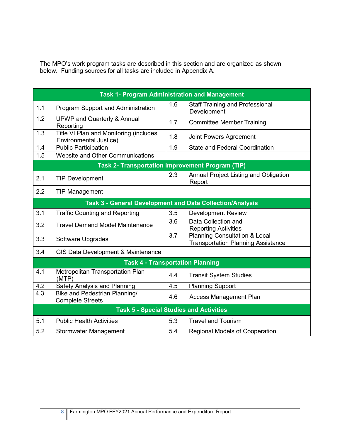The MPO's work program tasks are described in this section and are organized as shown below. Funding sources for all tasks are included in Appendix A.

|                  | <b>Task 1- Program Administration and Management</b>             |     |                                                                                       |
|------------------|------------------------------------------------------------------|-----|---------------------------------------------------------------------------------------|
| 1.1              | Program Support and Administration                               | 1.6 | <b>Staff Training and Professional</b><br>Development                                 |
| 1.2              | <b>UPWP and Quarterly &amp; Annual</b><br>Reporting              | 1.7 | <b>Committee Member Training</b>                                                      |
| 1.3              | Title VI Plan and Monitoring (includes<br>Environmental Justice) | 1.8 | <b>Joint Powers Agreement</b>                                                         |
| 1.4              | <b>Public Participation</b>                                      | 1.9 | <b>State and Federal Coordination</b>                                                 |
| 1.5              | Website and Other Communications                                 |     |                                                                                       |
|                  | <b>Task 2- Transportation Improvement Program (TIP)</b>          |     |                                                                                       |
| 2.1              | <b>TIP Development</b>                                           | 2.3 | Annual Project Listing and Obligation<br>Report                                       |
| 2.2              | <b>TIP Management</b>                                            |     |                                                                                       |
|                  | Task 3 - General Development and Data Collection/Analysis        |     |                                                                                       |
| 3.1              | <b>Traffic Counting and Reporting</b>                            | 3.5 | <b>Development Review</b>                                                             |
| 3.2              | <b>Travel Demand Model Maintenance</b>                           | 3.6 | Data Collection and<br><b>Reporting Activities</b>                                    |
| 3.3              | Software Upgrades                                                | 3.7 | <b>Planning Consultation &amp; Local</b><br><b>Transportation Planning Assistance</b> |
| 3.4              | GIS Data Development & Maintenance                               |     |                                                                                       |
|                  | <b>Task 4 - Transportation Planning</b>                          |     |                                                                                       |
| 4.1              | Metropolitan Transportation Plan<br>(MTP)                        | 4.4 | <b>Transit System Studies</b>                                                         |
| 4.2              | Safety Analysis and Planning                                     | 4.5 | <b>Planning Support</b>                                                               |
| $\overline{4.3}$ | <b>Bike and Pedestrian Planning/</b><br><b>Complete Streets</b>  | 4.6 | <b>Access Management Plan</b>                                                         |
|                  | <b>Task 5 - Special Studies and Activities</b>                   |     |                                                                                       |
| 5.1              | <b>Public Health Activities</b>                                  | 5.3 | <b>Travel and Tourism</b>                                                             |
| 5.2              | Stormwater Management                                            | 5.4 | <b>Regional Models of Cooperation</b>                                                 |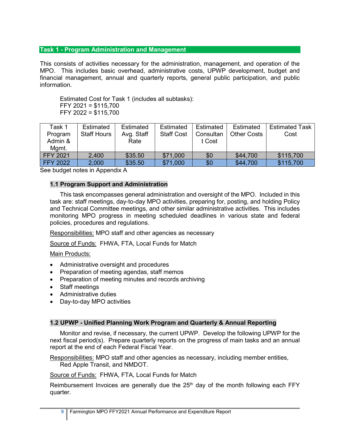## **Task 1 - Program Administration and Management**

This consists of activities necessary for the administration, management, and operation of the MPO. This includes basic overhead, administrative costs, UPWP development, budget and financial management, annual and quarterly reports, general public participation, and public information.

Estimated Cost for Task 1 (includes all subtasks): FFY 2021 = \$115,700 FFY 2022 = \$115,700

| Task 1          | Estimated          | Estimated  | Estimated         | Estimated | Estimated          | <b>Estimated Task</b> |
|-----------------|--------------------|------------|-------------------|-----------|--------------------|-----------------------|
| Program         | <b>Staff Hours</b> | Avg. Staff | <b>Staff Cost</b> | Consultan | <b>Other Costs</b> | Cost                  |
| Admin &         |                    | Rate       |                   | t Cost    |                    |                       |
| Mamt.           |                    |            |                   |           |                    |                       |
| <b>FFY 2021</b> | 2,400              | \$35.50    | \$71,000          | \$0       | \$44,700           | \$115,700             |
| <b>FFY 2022</b> | 2,000              | \$35.50    | \$71,000          | \$0       | \$44,700           | \$115,700             |

See budget notes in Appendix A

## **1.1 Program Support and Administration**

This task encompasses general administration and oversight of the MPO. Included in this task are: staff meetings, day-to-day MPO activities, preparing for, posting, and holding Policy and Technical Committee meetings, and other similar administrative activities. This includes monitoring MPO progress in meeting scheduled deadlines in various state and federal policies, procedures and regulations.

Responsibilities: MPO staff and other agencies as necessary

Source of Funds: FHWA, FTA, Local Funds for Match

#### Main Products:

- Administrative oversight and procedures
- Preparation of meeting agendas, staff memos
- Preparation of meeting minutes and records archiving
- Staff meetings
- Administrative duties
- Day-to-day MPO activities

#### **1.2 UPWP - Unified Planning Work Program and Quarterly & Annual Reporting**

Monitor and revise, if necessary, the current UPWP. Develop the following UPWP for the next fiscal period(s). Prepare quarterly reports on the progress of main tasks and an annual report at the end of each Federal Fiscal Year.

Responsibilities: MPO staff and other agencies as necessary, including member entities, Red Apple Transit, and NMDOT.

Source of Funds: FHWA, FTA, Local Funds for Match

Reimbursement Invoices are generally due the  $25<sup>th</sup>$  day of the month following each FFY quarter.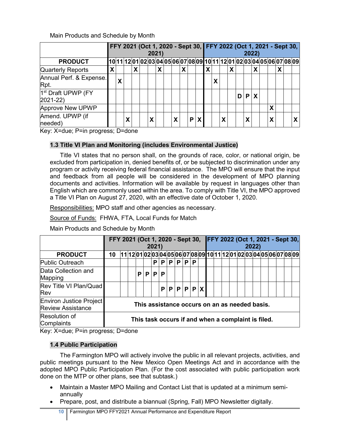Main Products and Schedule by Month

|                                                |   | 2021) |   |   |  |   |   |  |   |   |  |         |   | FFY 2021 (Oct 1, 2020 - Sept 30, FFY 2022 (Oct 1, 2021 - Sept 30,<br><b>2022</b> ) |  |   |   |   |   |                                                                          |   |  |  |  |
|------------------------------------------------|---|-------|---|---|--|---|---|--|---|---|--|---------|---|------------------------------------------------------------------------------------|--|---|---|---|---|--------------------------------------------------------------------------|---|--|--|--|
| <b>PRODUCT</b>                                 |   |       |   |   |  |   |   |  |   |   |  |         |   |                                                                                    |  |   |   |   |   | [10 11 12 01 02 03 04 05 06 07 08 09 10 11 12 01 02 03 04 05 06 07 08 09 |   |  |  |  |
| <b>Quarterly Reports</b>                       | X |       |   | X |  |   | X |  |   | X |  |         | X |                                                                                    |  | х |   |   | X |                                                                          |   |  |  |  |
| Annual Perf. & Expense.<br>Rpt.                |   | Χ     |   |   |  |   |   |  |   |   |  |         |   | Χ                                                                                  |  |   |   |   |   |                                                                          |   |  |  |  |
| 1 <sup>st</sup> Draft UPWP (FY<br>$2021 - 22)$ |   |       |   |   |  |   |   |  |   |   |  |         |   |                                                                                    |  |   | D | P |   |                                                                          |   |  |  |  |
| <b>Approve New UPWP</b>                        |   |       |   |   |  |   |   |  |   |   |  |         |   |                                                                                    |  |   |   |   |   |                                                                          | Χ |  |  |  |
| Amend. UPWP (if<br>needed)                     |   |       | Χ |   |  | χ |   |  | X |   |  | $P$ $X$ |   |                                                                                    |  |   |   | χ |   |                                                                          | χ |  |  |  |

Key: X=due; P=in progress; D=done

## **1.3 Title VI Plan and Monitoring (includes Environmental Justice)**

Title VI states that no person shall, on the grounds of race, color, or national origin, be excluded from participation in, denied benefits of, or be subjected to discrimination under any program or activity receiving federal financial assistance. The MPO will ensure that the input and feedback from all people will be considered in the development of MPO planning documents and activities. Information will be available by request in languages other than English which are commonly used within the area. To comply with Title VI, the MPO approved a Title VI Plan on August 27, 2020, with an effective date of October 1, 2020.

Responsibilities: MPO staff and other agencies as necessary.

Source of Funds: FHWA, FTA, Local Funds for Match

Main Products and Schedule by Month

|                                                                                                 |    | FFY 2021 (Oct 1, 2020 - Sept 30, FFY 2022 (Oct 1, 2021 - Sept 30,<br>2021) |  |   |                                                                      |   |   |                         |  |     |   |  |  |  |  | 2022) |  |  |  |  |  |  |  |  |  |  |  |
|-------------------------------------------------------------------------------------------------|----|----------------------------------------------------------------------------|--|---|----------------------------------------------------------------------|---|---|-------------------------|--|-----|---|--|--|--|--|-------|--|--|--|--|--|--|--|--|--|--|--|
| <b>PRODUCT</b>                                                                                  | 10 |                                                                            |  |   | 11 12 01 02 03 04 05 06 07 08 09 10 11 12 01 02 03 04 05 06 07 08 09 |   |   |                         |  |     |   |  |  |  |  |       |  |  |  |  |  |  |  |  |  |  |  |
| Public Outreach                                                                                 |    |                                                                            |  |   |                                                                      | P |   | $P$ $ P $               |  | P P | P |  |  |  |  |       |  |  |  |  |  |  |  |  |  |  |  |
| Data Collection and<br>Mapping                                                                  |    |                                                                            |  | P | P <sub>1</sub>                                                       | P | P |                         |  |     |   |  |  |  |  |       |  |  |  |  |  |  |  |  |  |  |  |
| Rev Title VI Plan/Quad<br>Rev                                                                   |    |                                                                            |  |   |                                                                      |   |   | $P$ $P$ $P$ $P$ $P$ $X$ |  |     |   |  |  |  |  |       |  |  |  |  |  |  |  |  |  |  |  |
| <b>Environ Justice Project</b><br><b>Review Assistance</b>                                      |    |                                                                            |  |   | This assistance occurs on an as needed basis.                        |   |   |                         |  |     |   |  |  |  |  |       |  |  |  |  |  |  |  |  |  |  |  |
| Resolution of<br>Complaints<br>$\mathbf{r}$ $\mathbf{r}$ $\mathbf{r}$ $\mathbf{r}$ $\mathbf{r}$ |    |                                                                            |  |   | This task occurs if and when a complaint is filed.                   |   |   |                         |  |     |   |  |  |  |  |       |  |  |  |  |  |  |  |  |  |  |  |

Key: X=due; P=in progress; D=done

## **1.4 Public Participation**

The Farmington MPO will actively involve the public in all relevant projects, activities, and public meetings pursuant to the New Mexico Open Meetings Act and in accordance with the adopted MPO Public Participation Plan. (For the cost associated with public participation work done on the MTP or other plans, see that subtask.)

- Maintain a Master MPO Mailing and Contact List that is updated at a minimum semiannually
- Prepare, post, and distribute a biannual (Spring, Fall) MPO Newsletter digitally.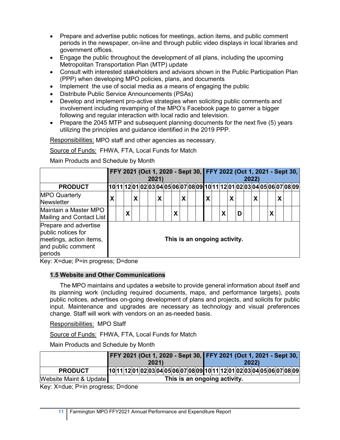- Prepare and advertise public notices for meetings, action items, and public comment periods in the newspaper, on-line and through public video displays in local libraries and government offices.
- Engage the public throughout the development of all plans, including the upcoming Metropolitan Transportation Plan (MTP) update
- Consult with interested stakeholders and advisors shown in the Public Participation Plan (PPP) when developing MPO policies, plans, and documents
- Implement the use of social media as a means of engaging the public
- Distribute Public Service Announcements (PSAs)
- Develop and implement pro-active strategies when soliciting public comments and involvement including revamping of the MPO's Facebook page to garner a bigger following and regular interaction with local radio and television.
- Prepare the 2045 MTP and subsequent planning documents for the next five (5) years utilizing the principles and guidance identified in the 2019 PPP.

Responsibilities: MPO staff and other agencies as necessary.

Source of Funds: FHWA, FTA, Local Funds for Match

Main Products and Schedule by Month

|                                                                                                         |   |   |   | FFY 2021 (Oct 1, 2020 - Sept 30, FFY 2022 (Oct 1, 2021 - Sept 30,      | 2021) |   |   |                              |   |   |   |   | 2022) |   |  |  |
|---------------------------------------------------------------------------------------------------------|---|---|---|------------------------------------------------------------------------|-------|---|---|------------------------------|---|---|---|---|-------|---|--|--|
| <b>PRODUCT</b>                                                                                          |   |   |   | 10 11 2 01 02 03 04 05 06 07 08 09 10 11 12 01 02 03 04 05 06 07 08 09 |       |   |   |                              |   |   |   |   |       |   |  |  |
| <b>MPO Quarterly</b><br><b>Newsletter</b>                                                               | X |   | Χ |                                                                        | Χ     |   | Χ |                              | X |   | χ |   | X     |   |  |  |
| Maintain a Master MPO<br>Mailing and Contact List                                                       |   | χ |   |                                                                        |       | Χ |   |                              |   | Χ |   | D |       | X |  |  |
| Prepare and advertise<br>public notices for<br>meetings, action items,<br>and public comment<br>periods |   |   |   |                                                                        |       |   |   | This is an ongoing activity. |   |   |   |   |       |   |  |  |

Key: X=due; P=in progress; D=done

#### **1.5 Website and Other Communications**

The MPO maintains and updates a website to provide general information about itself and its planning work (including required documents, maps, and performance targets), posts public notices, advertises on-going development of plans and projects, and solicits for public input. Maintenance and upgrades are necessary as technology and visual preferences change. Staff will work with vendors on an as-needed basis.

Responsibilities: MPO Staff

Source of Funds: FHWA, FTA, Local Funds for Match

Main Products and Schedule by Month

|                        | FFY 2021 (Oct 1, 2020 - Sept 30, FFY 2021 (Oct 1, 2021 - Sept 30,       |  |       |  |  |  |  |                              |      |  |  |  |
|------------------------|-------------------------------------------------------------------------|--|-------|--|--|--|--|------------------------------|------|--|--|--|
|                        |                                                                         |  | 2021) |  |  |  |  |                              | 2022 |  |  |  |
| <b>PRODUCT</b>         | 10 11 12 01 02 03 04 05 06 07 08 09 10 11 12 01 02 03 04 05 06 07 08 09 |  |       |  |  |  |  |                              |      |  |  |  |
| Website Maint & Update |                                                                         |  |       |  |  |  |  | This is an ongoing activity. |      |  |  |  |

Key: X=due; P=in progress; D=done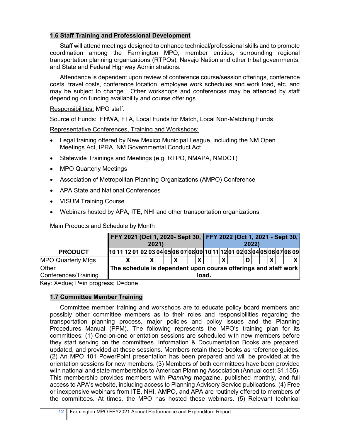## **1.6 Staff Training and Professional Development**

Staff will attend meetings designed to enhance technical/professional skills and to promote coordination among the Farmington MPO, member entities, surrounding regional transportation planning organizations (RTPOs), Navajo Nation and other tribal governments, and State and Federal Highway Administrations.

Attendance is dependent upon review of conference course/session offerings, conference costs, travel costs, conference location, employee work schedules and work load, etc. and may be subject to change. Other workshops and conferences may be attended by staff depending on funding availability and course offerings.

Responsibilities: MPO staff.

Source of Funds: FHWA, FTA, Local Funds for Match, Local Non-Matching Funds

Representative Conferences, Training and Workshops:

- Legal training offered by New Mexico Municipal League, including the NM Open Meetings Act, IPRA, NM Governmental Conduct Act
- Statewide Trainings and Meetings (e.g. RTPO, NMAPA, NMDOT)
- MPO Quarterly Meetings
- Association of Metropolitan Planning Organizations (AMPO) Conference
- APA State and National Conferences
- VISUM Training Course
- Webinars hosted by APA, ITE, NHI and other transportation organizations

|                               |  |  | FFY 2021 (Oct 1, 2020- Sept 30, FFY 2022 (Oct 1, 2021 - Sept 30, | 2021) |  |  |       |  |  | 2022 |  |  |                                                                          |
|-------------------------------|--|--|------------------------------------------------------------------|-------|--|--|-------|--|--|------|--|--|--------------------------------------------------------------------------|
| <b>PRODUCT</b>                |  |  |                                                                  |       |  |  |       |  |  |      |  |  | [10 11 12 01 02 03 04 05 06 07 08 09 10 11 12 01 02 03 04 05 06 07 08 09 |
| <b>MPO Quarterly Mtgs</b>     |  |  |                                                                  |       |  |  |       |  |  |      |  |  |                                                                          |
| Other<br>Conferences/Training |  |  | The schedule is dependent upon course offerings and staff work   |       |  |  | load. |  |  |      |  |  |                                                                          |

Main Products and Schedule by Month

Key: X=due; P=in progress; D=done

## **1.7 Committee Member Training**

Committee member training and workshops are to educate policy board members and possibly other committee members as to their roles and responsibilities regarding the transportation planning process, major policies and policy issues and the Planning Procedures Manual (PPM). The following represents the MPO's training plan for its committees: (1) One-on-one orientation sessions are scheduled with new members before they start serving on the committees. Information & Documentation Books are prepared, updated, and provided at these sessions. Members retain these books as reference guides. (2) An MPO 101 PowerPoint presentation has been prepared and will be provided at the orientation sessions for new members. (3) Members of both committees have been provided with national and state memberships to American Planning Association (Annual cost: \$1,155). This membership provides members with *Planning* magazine, published monthly, and full access to APA's website, including access to Planning Advisory Service publications. (4) Free or inexpensive webinars from ITE, NHI, AMPO, and APA are routinely offered to members of the committees. At times, the MPO has hosted these webinars. (5) Relevant technical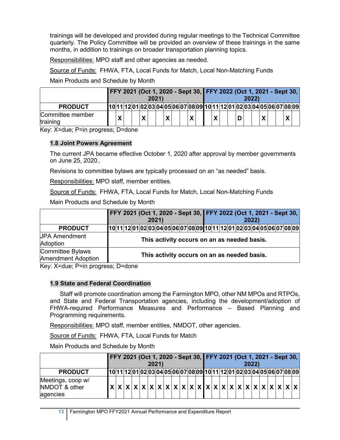trainings will be developed and provided during regular meetings to the Technical Committee quarterly. The Policy Committee will be provided an overview of these trainings in the same months, in addition to trainings on broader transportation planning topics.

Responsibilities: MPO staff and other agencies as needed.

Source of Funds: FHWA, FTA, Local Funds for Match, Local Non-Matching Funds

Main Products and Schedule by Month

|                              |  |  | 2021) |  |  |   |  | FFY 2021 (Oct 1, 2020 - Sept 30, FFY 2022 (Oct 1, 2021 - Sept 30,        |  | 2022 |   |  |  |
|------------------------------|--|--|-------|--|--|---|--|--------------------------------------------------------------------------|--|------|---|--|--|
| <b>PRODUCT</b>               |  |  |       |  |  |   |  | [10 11 12 01 02 03 04 05 06 07 08 09 10 11 12 01 02 03 04 05 06 07 08 09 |  |      |   |  |  |
| Committee member<br>training |  |  |       |  |  | v |  | Χ                                                                        |  |      | Χ |  |  |

Key: X=due; P=in progress; D=done

## **1.8 Joint Powers Agreement**

The current JPA became effective October 1, 2020 after approval by member governments on June 25, 2020..

Revisions to committee bylaws are typically processed on an "as needed" basis.

Responsibilities: MPO staff, member entities.

Source of Funds: FHWA, FTA, Local Funds for Match, Local Non-Matching Funds

Main Products and Schedule by Month

|                                                      | FFY 2021 (Oct 1, 2020 - Sept 30, FFY 2022 (Oct 1, 2021 - Sept 30,<br>2021 | 2022                                        |
|------------------------------------------------------|---------------------------------------------------------------------------|---------------------------------------------|
| <b>PRODUCT</b>                                       | 10 11 12 01 02 03 04 05 06 07 08 09 10 11 12 01 02 03 04 05 06 07 08 09   |                                             |
| <b>JPA Amendment</b><br>Adoption                     |                                                                           | This activity occurs on an as needed basis. |
| <b>Committee Bylaws</b><br><b>Amendment Adoption</b> |                                                                           | This activity occurs on an as needed basis. |

Key: X=due; P=in progress; D=done

#### **1.9 State and Federal Coordination**

Staff will promote coordination among the Farmington MPO, other NM MPOs and RTPOs, and State and Federal Transportation agencies, including the development/adoption of FHWA-required Performance Measures and Performance – Based Planning and Programming requirements.

Responsibilities: MPO staff, member entities, NMDOT, other agencies.

Source of Funds: FHWA, FTA, Local Funds for Match

Main Products and Schedule by Month

|                                                | FFY 2021 (Oct 1, 2020 - Sept 30, FFY 2021 (Oct 1, 2021 - Sept 30, |  |  | 2021) |  |  |  |  |  |  | 2022 |  |  |                                                                                                                                                                                                                                                                                                                                                                                                                                                                                                                                                                                         |
|------------------------------------------------|-------------------------------------------------------------------|--|--|-------|--|--|--|--|--|--|------|--|--|-----------------------------------------------------------------------------------------------------------------------------------------------------------------------------------------------------------------------------------------------------------------------------------------------------------------------------------------------------------------------------------------------------------------------------------------------------------------------------------------------------------------------------------------------------------------------------------------|
| <b>PRODUCT</b>                                 |                                                                   |  |  |       |  |  |  |  |  |  |      |  |  | 10 11 2 01 02 03 04 05 06 07 08 09 10 11 12 01 02 03 04 05 06 07 08 09                                                                                                                                                                                                                                                                                                                                                                                                                                                                                                                  |
| Meetings, coop w/<br>NMDOT & other<br>agencies |                                                                   |  |  |       |  |  |  |  |  |  |      |  |  | $\mathbf{x} \times \mathbf{x} \times \mathbf{x} \times \mathbf{x} \times \mathbf{x} \times \mathbf{x} \times \mathbf{x} \times \mathbf{x} \times \mathbf{x} \times \mathbf{x} \times \mathbf{x} \times \mathbf{x} \times \mathbf{x} \times \mathbf{x} \times \mathbf{x} \times \mathbf{x} \times \mathbf{x} \times \mathbf{x} \times \mathbf{x} \times \mathbf{x} \times \mathbf{x} \times \mathbf{x} \times \mathbf{x} \times \mathbf{x} \times \mathbf{x} \times \mathbf{x} \times \mathbf{x} \times \mathbf{x} \times \mathbf{x} \times \mathbf{x} \times \mathbf{x} \times \mathbf$ |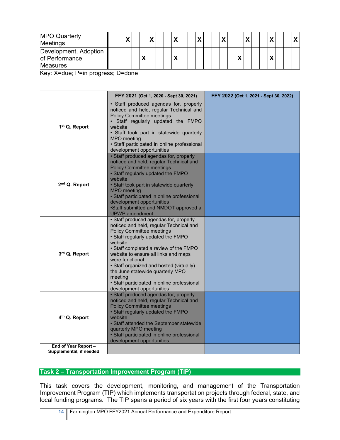| <b>MPO Quarterly</b><br><b>Meetings</b>                    |  |  | $\boldsymbol{\mathcal{L}}$ |  |  |  |  |  |  |  |  |  |
|------------------------------------------------------------|--|--|----------------------------|--|--|--|--|--|--|--|--|--|
| Development, Adoption<br>of Performance<br><b>Measures</b> |  |  |                            |  |  |  |  |  |  |  |  |  |

Key: X=due; P=in progress; D=done

|                                                   | FFY 2021 (Oct 1, 2020 - Sept 30, 2021)                                                                                                                                                                                                                                                                                                                                                                                                             | FFY 2022 (Oct 1, 2021 - Sept 30, 2022) |
|---------------------------------------------------|----------------------------------------------------------------------------------------------------------------------------------------------------------------------------------------------------------------------------------------------------------------------------------------------------------------------------------------------------------------------------------------------------------------------------------------------------|----------------------------------------|
| 1 <sup>st</sup> Q. Report                         | • Staff produced agendas for, properly<br>noticed and held, regular Technical and<br><b>Policy Committee meetings</b><br>Staff regularly updated the FMPO<br>website<br>· Staff took part in statewide quarterly<br>MPO meeting<br>· Staff participated in online professional<br>development opportunities                                                                                                                                        |                                        |
| 2 <sup>nd</sup> Q. Report                         | • Staff produced agendas for, properly<br>noticed and held, regular Technical and<br><b>Policy Committee meetings</b><br>• Staff regularly updated the FMPO<br>website<br>· Staff took part in statewide quarterly<br><b>MPO</b> meeting<br>• Staff participated in online professional<br>development opportunities<br>•Staff submitted and NMDOT approved a<br><b>UPWP</b> amendment                                                             |                                        |
| 3rd Q. Report                                     | • Staff produced agendas for, properly<br>noticed and held, regular Technical and<br><b>Policy Committee meetings</b><br>• Staff regularly updated the FMPO<br>website<br>• Staff completed a review of the FMPO<br>website to ensure all links and maps<br>were functional<br>• Staff organized and hosted (virtually)<br>the June statewide quarterly MPO<br>meeting<br>· Staff participated in online professional<br>development opportunities |                                        |
| 4 <sup>th</sup> Q. Report<br>End of Year Report - | • Staff produced agendas for, properly<br>noticed and held, regular Technical and<br><b>Policy Committee meetings</b><br>• Staff regularly updated the FMPO<br>website<br>· Staff attended the September statewide<br>quarterly MPO meeting<br>• Staff participated in online professional<br>development opportunities                                                                                                                            |                                        |
| Supplemental, if needed                           |                                                                                                                                                                                                                                                                                                                                                                                                                                                    |                                        |

## **Task 2 – Transportation Improvement Program (TIP)**

This task covers the development, monitoring, and management of the Transportation Improvement Program (TIP) which implements transportation projects through federal, state, and local funding programs. The TIP spans a period of six years with the first four years constituting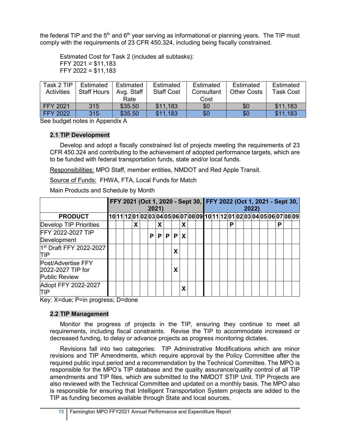the federal TIP and the  $5<sup>th</sup>$  and  $6<sup>th</sup>$  year serving as informational or planning years. The TIP must comply with the requirements of 23 CFR 450.324, including being fiscally constrained.

Estimated Cost for Task 2 (includes all subtasks): FFY 2021 = \$11,183 FFY 2022 =  $$11,183$ 

| Task 2 TIP        | Estimated          | Estimated  | Estimated         | Estimated  | Estimated   | Estimated        |
|-------------------|--------------------|------------|-------------------|------------|-------------|------------------|
| <b>Activities</b> | <b>Staff Hours</b> | Avg. Staff | <b>Staff Cost</b> | Consultant | Other Costs | <b>Task Cost</b> |
|                   |                    | Rate       |                   | Cost       |             |                  |
| <b>FFY 2021</b>   | 315                | \$35.50    | \$11.183          | \$0        | \$0         | \$11.183         |
| <b>FFY 2022</b>   | 315                | \$35.50    | \$11,183          | \$0        | \$0         | \$11.183         |

See budget notes in Appendix A

#### **2.1 TIP Development**

Develop and adopt a fiscally constrained list of projects meeting the requirements of 23 CFR 450.324 and contributing to the achievement of adopted performance targets, which are to be funded with federal transportation funds, state and/or local funds.

Responsibilities: MPO Staff, member entities, NMDOT and Red Apple Transit.

Source of Funds: FHWA, FTA, Local Funds for Match

Main Products and Schedule by Month

|                                                                 |  |   | 2021) |   |    |   |   |  |  |   | 2022) |  |   | FFY 2021 (Oct 1, 2020 - Sept 30, FFY 2022 (Oct 1, 2021 - Sept 30,       |
|-----------------------------------------------------------------|--|---|-------|---|----|---|---|--|--|---|-------|--|---|-------------------------------------------------------------------------|
| <b>PRODUCT</b>                                                  |  |   |       |   |    |   |   |  |  |   |       |  |   | 10 11 12 01 02 03 04 05 06 07 08 09 10 11 12 01 02 03 04 05 06 07 08 09 |
| <b>Develop TIP Priorities</b>                                   |  | X |       | X |    |   | x |  |  | Р |       |  | P |                                                                         |
| FFY 2022-2027 TIP<br>Development                                |  |   | P     | P | P. | P | X |  |  |   |       |  |   |                                                                         |
| 1st Draft FFY 2022-2027<br>ΠIΡ                                  |  |   |       |   |    | χ |   |  |  |   |       |  |   |                                                                         |
| Post/Advertise FFY<br>2022-2027 TIP for<br><b>Public Review</b> |  |   |       |   |    | χ |   |  |  |   |       |  |   |                                                                         |
| Adopt FFY 2022-2027<br>ΠP                                       |  |   |       |   |    |   |   |  |  |   |       |  |   |                                                                         |

Key: X=due; P=in progress; D=done

#### **2.2 TIP Management**

Monitor the progress of projects in the TIP, ensuring they continue to meet all requirements, including fiscal constraints. Revise the TIP to accommodate increased or decreased funding, to delay or advance projects as progress monitoring dictates.

Revisions fall into two categories: TIP Administrative Modifications which are minor revisions and TIP Amendments, which require approval by the Policy Committee after the required public input period and a recommendation by the Technical Committee. The MPO is responsible for the MPO's TIP database and the quality assurance/quality control of all TIP amendments and TIP files, which are submitted to the NMDOT STIP Unit. TIP Projects are also reviewed with the Technical Committee and updated on a monthly basis. The MPO also is responsible for ensuring that Intelligent Transportation System projects are added to the TIP as funding becomes available through State and local sources.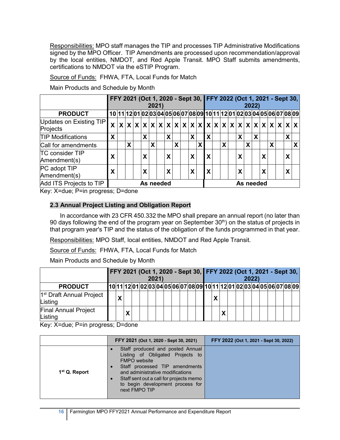Responsibilities: MPO staff manages the TIP and processes TIP Administrative Modifications signed by the MPO Officer. TIP Amendments are processed upon recommendation/approval by the local entities, NMDOT, and Red Apple Transit. MPO Staff submits amendments, certifications to NMDOT via the eSTIP Program.

Source of Funds: FHWA, FTA, Local Funds for Match

Main Products and Schedule by Month

|                                        |   |                                                                                                |   |  | FFY 2021 (Oct 1, 2020 - Sept 30, FFY 2022 (Oct 1, 2021 - Sept 30, |   | 2021) |   |   |  |   |   |   |  |   |  |   |           | 2022) |   |   |  |   |   |
|----------------------------------------|---|------------------------------------------------------------------------------------------------|---|--|-------------------------------------------------------------------|---|-------|---|---|--|---|---|---|--|---|--|---|-----------|-------|---|---|--|---|---|
| <b>PRODUCT</b>                         |   | 10  11  12  01  02  03  04  05  06  07  08  09  10  11  12  01  02  03  04  05  06  07  08  09 |   |  |                                                                   |   |       |   |   |  |   |   |   |  |   |  |   |           |       |   |   |  |   |   |
| Updates on Existing TIP<br>Projects    | χ | $x x x x x x x x x x x x x x x x x x x x x x x x x $                                           |   |  |                                                                   |   |       |   |   |  |   |   |   |  |   |  |   |           |       |   |   |  |   |   |
| <b>TIP Modifications</b>               | X |                                                                                                |   |  | X                                                                 |   |       | X |   |  | X |   | X |  |   |  | χ |           | X     |   |   |  | X |   |
| Call for amendments                    |   |                                                                                                | X |  |                                                                   | χ |       |   | X |  |   | X |   |  | X |  |   | X         |       |   | X |  |   | X |
| <b>TC consider TIP</b><br>Amendment(s) | χ |                                                                                                |   |  | X                                                                 |   |       | X |   |  | X |   | X |  |   |  | χ |           |       | Χ |   |  | X |   |
| PC adopt TIP<br>Amendment(s)           | X |                                                                                                |   |  | Χ                                                                 |   |       | X |   |  | X |   | X |  |   |  | χ |           |       | Χ |   |  | X |   |
| Add ITS Projects to TIP                |   |                                                                                                |   |  | As needed                                                         |   |       |   |   |  |   |   |   |  |   |  |   | As needed |       |   |   |  |   |   |

Key: X=due; P=in progress; D=done

## **2.3 Annual Project Listing and Obligation Report**

In accordance with 23 CFR 450.332 the MPO shall prepare an annual report (no later than 90 days following the end of the program year on September  $30<sup>th</sup>$ ) on the status of projects in that program year's TIP and the status of the obligation of the funds programmed in that year.

Responsibilities: MPO Staff, local entities, NMDOT and Red Apple Transit.

Source of Funds: FHWA, FTA, Local Funds for Match

Main Products and Schedule by Month

|                                                 |                       |  | 2021) |  |  |  |   |  |  | 2022 |  |  | FFY 2021 (Oct 1, 2020 - Sept 30, FFY 2022 (Oct 1, 2021 - Sept 30,        |
|-------------------------------------------------|-----------------------|--|-------|--|--|--|---|--|--|------|--|--|--------------------------------------------------------------------------|
| <b>PRODUCT</b>                                  |                       |  |       |  |  |  |   |  |  |      |  |  | [10 11 12 01 02 03 04 05 06 07 08 09 10 11 12 01 02 03 04 05 06 07 08 09 |
| 1 <sup>st</sup> Draft Annual Project<br>Listing | $\tilde{\phantom{a}}$ |  |       |  |  |  | X |  |  |      |  |  |                                                                          |
| <b>Final Annual Project</b><br>Listing          |                       |  |       |  |  |  |   |  |  |      |  |  |                                                                          |

Key: X=due; P=in progress; D=done

|                           | FFY 2021 (Oct 1, 2020 - Sept 30, 2021)                                                                                                                                                                                                                            | FFY 2022 (Oct 1, 2021 - Sept 30, 2022) |
|---------------------------|-------------------------------------------------------------------------------------------------------------------------------------------------------------------------------------------------------------------------------------------------------------------|----------------------------------------|
| 1 <sup>st</sup> Q. Report | Staff produced and posted Annual<br>Listing of Obligated Projects to<br><b>FMPO</b> website<br>Staff processed TIP amendments<br>and administrative modifications<br>Staff sent out a call for projects memo<br>to begin development process for<br>next FMPO TIP |                                        |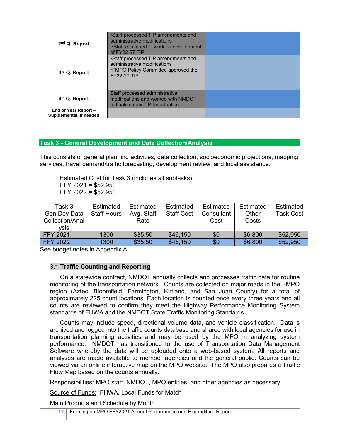| 2 <sup>nd</sup> Q. Report                       | •Staff processed TIP amendments and<br>administrative modifications<br>•Staff continued to work on development<br>of FY22-27 TIP  |  |
|-------------------------------------------------|-----------------------------------------------------------------------------------------------------------------------------------|--|
| 3rd Q. Report                                   | •Staff processed TIP amendments and<br>administrative modifications<br>• FMPO Policy Committee approved the<br><b>FY22-27 TIP</b> |  |
| 4 <sup>th</sup> Q. Report                       | Staff processed administrative<br>modifications and worked with NMDOT<br>to finalize new TIP for adoption                         |  |
| End of Year Report -<br>Supplemental, if needed |                                                                                                                                   |  |

#### **Task 3 - General Development and Data Collection/Analysis**

This consists of general planning activities, data collection, socioeconomic projections, mapping services, travel demand/traffic forecasting, development review, and local assistance.

Estimated Cost for Task 3 (includes all subtasks): FFY 2021 = \$52,950 FFY 2022 = \$52,950

| Task 3              | Estimated          | Estimated  | Estimated         | Estimated  | Estimated | Estimated        |
|---------------------|--------------------|------------|-------------------|------------|-----------|------------------|
| <b>Gen Dev Data</b> | <b>Staff Hours</b> | Avg. Staff | <b>Staff Cost</b> | Consultant | Other     | <b>Task Cost</b> |
| Collection/Anal     |                    | Rate       |                   | Cost       | Costs     |                  |
| VSIS                |                    |            |                   |            |           |                  |
| <b>FFY 2021</b>     | 1300               | \$35.50    | \$46,150          | \$0        | \$6,800   | \$52,950         |
| <b>FFY 2022</b>     | 1300               | \$35.50    | \$46,150          | \$0        | \$6,800   | \$52,950         |

See budget notes in Appendix A

#### **3.1 Traffic Counting and Reporting**

On a statewide contract, NMDOT annually collects and processes traffic data for routine monitoring of the transportation network. Counts are collected on major roads in the FMPO region (Aztec, Bloomfield, Farmington, Kirtland, and San Juan County) for a total of approximately 225 count locations. Each location is counted once every three years and all counts are reviewed to confirm they meet the Highway Performance Monitoring System standards of FHWA and the NMDOT State Traffic Monitoring Standards.

Counts may include speed, directional volume data, and vehicle classification. Data is archived and logged into the traffic counts database and shared with local agencies for use in transportation planning activities and may be used by the MPO in analyzing system performance. NMDOT has transitioned to the use of Transportation Data Management Software whereby the data will be uploaded onto a web-based system. All reports and analyses are made available to member agencies and the general public. Counts can be viewed via an online interactive map on the MPO website. The MPO also prepares a Traffic Flow Map based on the counts annually.

Responsibilities: MPO staff, NMDOT, MPO entities, and other agencies as necessary.

Source of Funds: FHWA, Local Funds for Match

Main Products and Schedule by Month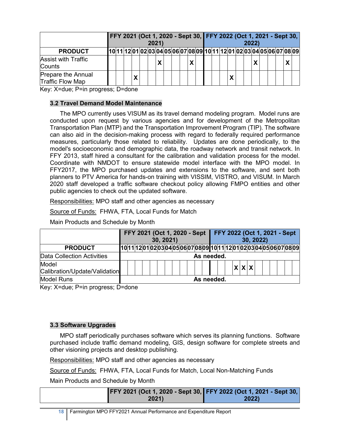|                                               | FFY 2021 (Oct 1, 2020 - Sept 30, FFY 2022 (Oct 1, 2021 - Sept 30,<br>2021)<br>[10 11 12 01 02 03 04 05 06 07 08 09 10 11 12 01 02 03 04 05 06 07 08 09 |  |  |  |  |  |  |  |  |  |  |  |  | 2022 |  |  |              |  |
|-----------------------------------------------|--------------------------------------------------------------------------------------------------------------------------------------------------------|--|--|--|--|--|--|--|--|--|--|--|--|------|--|--|--------------|--|
| <b>PRODUCT</b>                                |                                                                                                                                                        |  |  |  |  |  |  |  |  |  |  |  |  |      |  |  |              |  |
| <b>Assist with Traffic</b><br>Counts          |                                                                                                                                                        |  |  |  |  |  |  |  |  |  |  |  |  |      |  |  | $\mathbf{v}$ |  |
| <b>Prepare the Annual</b><br>Traffic Flow Map |                                                                                                                                                        |  |  |  |  |  |  |  |  |  |  |  |  |      |  |  |              |  |

Key: X=due; P=in progress; D=done

## **3.2 Travel Demand Model Maintenance**

The MPO currently uses VISUM as its travel demand modeling program. Model runs are conducted upon request by various agencies and for development of the Metropolitan Transportation Plan (MTP) and the Transportation Improvement Program (TIP). The software can also aid in the decision-making process with regard to federally required performance measures, particularly those related to reliability. Updates are done periodically, to the model's socioeconomic and demographic data, the roadway network and transit network. In FFY 2013, staff hired a consultant for the calibration and validation process for the model. Coordinate with NMDOT to ensure statewide model interface with the MPO model. In FFY2017, the MPO purchased updates and extensions to the software, and sent both planners to PTV America for hands-on training with VISSIM, VISTRO, and VISUM. In March 2020 staff developed a traffic software checkout policy allowing FMPO entities and other public agencies to check out the updated software.

Responsibilities: MPO staff and other agencies as necessary

Source of Funds: FHWA, FTA, Local Funds for Match

Main Products and Schedule by Month

|                               |            |  |  | FFY 2021 (Oct 1, 2020 - Sept |  | 30, 2021) |  |  |  |  |  | FFY 2022 (Oct 1, 2021 - Sept                                        |  | 30, 2022) |  |  |  |  |
|-------------------------------|------------|--|--|------------------------------|--|-----------|--|--|--|--|--|---------------------------------------------------------------------|--|-----------|--|--|--|--|
| <b>PRODUCT</b>                |            |  |  |                              |  |           |  |  |  |  |  | 10 11 2010203 04 05 06 07 08 09 10 11 12 01 02 03 04 05 06 07 08 09 |  |           |  |  |  |  |
| Data Collection Activities    |            |  |  |                              |  |           |  |  |  |  |  | As needed.                                                          |  |           |  |  |  |  |
| Model                         |            |  |  |                              |  |           |  |  |  |  |  |                                                                     |  | X X X     |  |  |  |  |
| Calibration/Update/Validation |            |  |  |                              |  |           |  |  |  |  |  |                                                                     |  |           |  |  |  |  |
| <b>Model Runs</b>             | As needed. |  |  |                              |  |           |  |  |  |  |  |                                                                     |  |           |  |  |  |  |

Key: X=due; P=in progress; D=done

## **3.3 Software Upgrades**

MPO staff periodically purchases software which serves its planning functions. Software purchased include traffic demand modeling, GIS, design software for complete streets and other visioning projects and desktop publishing.

Responsibilities: MPO staff and other agencies as necessary

Source of Funds: FHWA, FTA, Local Funds for Match, Local Non-Matching Funds

Main Products and Schedule by Month

| FFY 2021 (Oct 1, 2020 - Sept 30, FFY 2022 (Oct 1, 2021 - Sept 30, |       |
|-------------------------------------------------------------------|-------|
| 2021)                                                             | 2022) |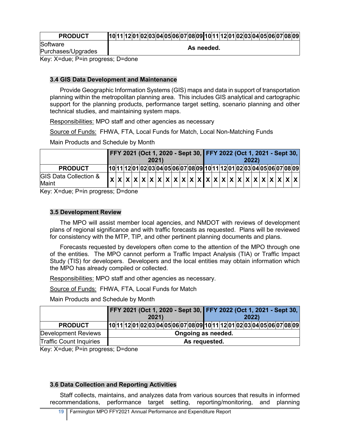| Software<br>As needed.<br>Purchases/Upgrades |
|----------------------------------------------|

Key: X=due; P=in progress; D=done

## **3.4 GIS Data Development and Maintenance**

Provide Geographic Information Systems (GIS) maps and data in support of transportation planning within the metropolitan planning area. This includes GIS analytical and cartographic support for the planning products, performance target setting, scenario planning and other technical studies, and maintaining system maps.

Responsibilities: MPO staff and other agencies as necessary

Source of Funds: FHWA, FTA, Local Funds for Match, Local Non-Matching Funds

Main Products and Schedule by Month

|                                           | FFY 2021 (Oct 1, 2020 - Sept 30, FFY 2022 (Oct 1, 2021 - Sept 30,<br>2021)<br>10 11 12 01 02 03 04 05 06 07 08 09 10 11 12 01 02 03 04 05 06 07 08 09 |  |  |  |  |  |  |  |  |  |  |  |  |  | 2022 |  |  |                                                                                                                                                                                                                                                                                                                                                                                                                                                                                                                                                                                         |
|-------------------------------------------|-------------------------------------------------------------------------------------------------------------------------------------------------------|--|--|--|--|--|--|--|--|--|--|--|--|--|------|--|--|-----------------------------------------------------------------------------------------------------------------------------------------------------------------------------------------------------------------------------------------------------------------------------------------------------------------------------------------------------------------------------------------------------------------------------------------------------------------------------------------------------------------------------------------------------------------------------------------|
| <b>PRODUCT</b>                            |                                                                                                                                                       |  |  |  |  |  |  |  |  |  |  |  |  |  |      |  |  |                                                                                                                                                                                                                                                                                                                                                                                                                                                                                                                                                                                         |
| <b>GIS Data Collection &amp;</b><br>Maint |                                                                                                                                                       |  |  |  |  |  |  |  |  |  |  |  |  |  |      |  |  | $\mathbf{x} \times \mathbf{x} \times \mathbf{x} \times \mathbf{x} \times \mathbf{x} \times \mathbf{x} \times \mathbf{x} \times \mathbf{x} \times \mathbf{x} \times \mathbf{x} \times \mathbf{x} \times \mathbf{x} \times \mathbf{x} \times \mathbf{x} \times \mathbf{x} \times \mathbf{x} \times \mathbf{x} \times \mathbf{x} \times \mathbf{x} \times \mathbf{x} \times \mathbf{x} \times \mathbf{x} \times \mathbf{x} \times \mathbf{x} \times \mathbf{x} \times \mathbf{x} \times \mathbf{x} \times \mathbf{x} \times \mathbf{x} \times \mathbf{x} \times \mathbf{x} \times \mathbf$ |

Key: X=due; P=in progress; D=done

#### **3.5 Development Review**

The MPO will assist member local agencies, and NMDOT with reviews of development plans of regional significance and with traffic forecasts as requested. Plans will be reviewed for consistency with the MTP, TIP, and other pertinent planning documents and plans.

Forecasts requested by developers often come to the attention of the MPO through one of the entities. The MPO cannot perform a Traffic Impact Analysis (TIA) or Traffic Impact Study (TIS) for developers. Developers and the local entities may obtain information which the MPO has already compiled or collected.

Responsibilities: MPO staff and other agencies as necessary.

Source of Funds: FHWA, FTA, Local Funds for Match

Main Products and Schedule by Month

|                                |                                                                         |  |  |  |  |  |  |  |  |  | FFY 2021 (Oct 1, 2020 - Sept 30, FFY 2022 (Oct 1, 2021 - Sept 30, |  |  |  |      |  |  |  |  |  |  |  |
|--------------------------------|-------------------------------------------------------------------------|--|--|--|--|--|--|--|--|--|-------------------------------------------------------------------|--|--|--|------|--|--|--|--|--|--|--|
|                                | 2021)                                                                   |  |  |  |  |  |  |  |  |  |                                                                   |  |  |  | 2022 |  |  |  |  |  |  |  |
| <b>PRODUCT</b>                 | 10 11 12 01 02 03 04 05 06 07 08 09 10 11 12 01 02 03 04 05 06 07 08 09 |  |  |  |  |  |  |  |  |  |                                                                   |  |  |  |      |  |  |  |  |  |  |  |
| <b>Development Reviews</b>     | Ongoing as needed.                                                      |  |  |  |  |  |  |  |  |  |                                                                   |  |  |  |      |  |  |  |  |  |  |  |
| <b>Traffic Count Inquiries</b> | As requested.                                                           |  |  |  |  |  |  |  |  |  |                                                                   |  |  |  |      |  |  |  |  |  |  |  |

Key: X=due; P=in progress; D=done

#### **3.6 Data Collection and Reporting Activities**

Staff collects, maintains, and analyzes data from various sources that results in informed recommendations, performance target setting, reporting/monitoring, and planning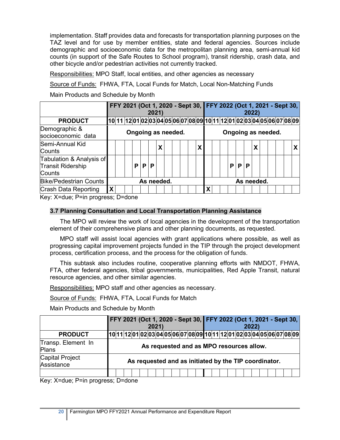implementation. Staff provides data and forecasts for transportation planning purposes on the TAZ level and for use by member entities, state and federal agencies. Sources include demographic and socioeconomic data for the metropolitan planning area, semi-annual kid counts (in support of the Safe Routes to School program), transit ridership, crash data, and other bicycle and/or pedestrian activities not currently tracked.

Responsibilities: MPO Staff, local entities, and other agencies as necessary

Source of Funds: FHWA, FTA, Local Funds for Match, Local Non-Matching Funds

Main Products and Schedule by Month

|                                                                |   |                    |  |    |   | FFY 2021 (Oct 1, 2020 - Sept 30, FFY 2022 (Oct 1, 2021 - Sept 30,<br><b>2022)</b><br> 10  11  12  01  02  03  04  05  06  07  08  09  10  11  12  01  02  03  04  05  06  07  08  09 |            |  |  |  |            |   |  |   |   |   |  |                    |  |  |  |
|----------------------------------------------------------------|---|--------------------|--|----|---|--------------------------------------------------------------------------------------------------------------------------------------------------------------------------------------|------------|--|--|--|------------|---|--|---|---|---|--|--------------------|--|--|--|
| <b>PRODUCT</b>                                                 |   |                    |  |    |   |                                                                                                                                                                                      |            |  |  |  |            |   |  |   |   |   |  |                    |  |  |  |
| Demographic &<br>socioeconomic data                            |   | Ongoing as needed. |  |    |   |                                                                                                                                                                                      |            |  |  |  |            |   |  |   |   |   |  | Ongoing as needed. |  |  |  |
| Semi-Annual Kid<br>Counts                                      |   |                    |  |    |   |                                                                                                                                                                                      | Χ          |  |  |  | X          |   |  |   |   |   |  |                    |  |  |  |
| Tabulation & Analysis of<br><b>Transit Ridership</b><br>Counts |   |                    |  | P. | P | P                                                                                                                                                                                    |            |  |  |  |            |   |  | P | P | P |  |                    |  |  |  |
| <b>Bike/Pedestrian Counts</b>                                  |   |                    |  |    |   |                                                                                                                                                                                      | As needed. |  |  |  | As needed. |   |  |   |   |   |  |                    |  |  |  |
| Crash Data Reporting                                           | X |                    |  |    |   |                                                                                                                                                                                      |            |  |  |  |            | X |  |   |   |   |  |                    |  |  |  |

Key: X=due; P=in progress; D=done

#### **3.7 Planning Consultation and Local Transportation Planning Assistance**

The MPO will review the work of local agencies in the development of the transportation element of their comprehensive plans and other planning documents, as requested.

MPO staff will assist local agencies with grant applications where possible, as well as progressing capital improvement projects funded in the TIP through the project development process, certification process, and the process for the obligation of funds.

This subtask also includes routine, cooperative planning efforts with NMDOT, FHWA, FTA, other federal agencies, tribal governments, municipalities, Red Apple Transit, natural resource agencies, and other similar agencies.

Responsibilities: MPO staff and other agencies as necessary.

Source of Funds: FHWA, FTA, Local Funds for Match

Main Products and Schedule by Month

|                                      | FFY 2021 (Oct 1, 2020 - Sept 30, FFY 2022 (Oct 1, 2021 - Sept 30,       |                                                       |
|--------------------------------------|-------------------------------------------------------------------------|-------------------------------------------------------|
|                                      | 2021)                                                                   | 2022)                                                 |
| <b>PRODUCT</b>                       | 10 11 12 01 02 03 04 05 06 07 08 09 10 11 12 01 02 03 04 05 06 07 08 09 |                                                       |
| Transp. Element In<br>Plans          |                                                                         | As requested and as MPO resources allow.              |
| <b>Capital Project</b><br>Assistance |                                                                         | As requested and as initiated by the TIP coordinator. |
|                                      |                                                                         |                                                       |

Key: X=due; P=in progress; D=done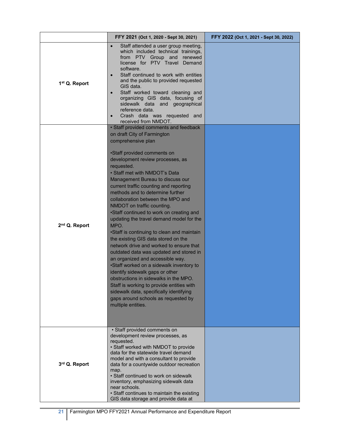|                           | FFY 2021 (Oct 1, 2020 - Sept 30, 2021)                                                                                                                                                                                                                                                                                                                                                                                                                                                                                                                                                                                                                                                                                                                                                                                                                                                                                                                                                         | FFY 2022 (Oct 1, 2021 - Sept 30, 2022) |
|---------------------------|------------------------------------------------------------------------------------------------------------------------------------------------------------------------------------------------------------------------------------------------------------------------------------------------------------------------------------------------------------------------------------------------------------------------------------------------------------------------------------------------------------------------------------------------------------------------------------------------------------------------------------------------------------------------------------------------------------------------------------------------------------------------------------------------------------------------------------------------------------------------------------------------------------------------------------------------------------------------------------------------|----------------------------------------|
| 1 <sup>st</sup> Q. Report | Staff attended a user group meeting,<br>$\bullet$<br>which included technical trainings,<br>from PTV Group and renewed<br>license for PTV Travel Demand<br>software.<br>Staff continued to work with entities<br>$\bullet$<br>and the public to provided requested<br>GIS data.<br>Staff worked toward cleaning and<br>$\bullet$<br>organizing GIS data, focusing of<br>sidewalk data and geographical<br>reference data.<br>Crash data was requested and<br>$\bullet$<br>received from NMDOT.                                                                                                                                                                                                                                                                                                                                                                                                                                                                                                 |                                        |
| 2 <sup>nd</sup> Q. Report | • Staff provided comments and feedback<br>on draft City of Farmington<br>comprehensive plan<br>•Staff provided comments on<br>development review processes, as<br>requested.<br>• Staff met with NMDOT's Data<br>Management Bureau to discuss our<br>current traffic counting and reporting<br>methods and to determine further<br>collaboration between the MPO and<br>NMDOT on traffic counting.<br>•Staff continued to work on creating and<br>updating the travel demand model for the<br>MPO.<br>•Staff is continuing to clean and maintain<br>the existing GIS data stored on the<br>network drive and worked to ensure that<br>outdated data was updated and stored in<br>an organized and accessible way.<br>•Staff worked on a sidewalk inventory to<br>identify sidewalk gaps or other<br>obstructions in sidewalks in the MPO.<br>Staff is working to provide entities with<br>sidewalk data, specifically identifying<br>gaps around schools as requested by<br>multiple entities. |                                        |
| 3rd Q. Report             | • Staff provided comments on<br>development review processes, as<br>requested.<br>• Staff worked with NMDOT to provide<br>data for the statewide travel demand<br>model and with a consultant to provide<br>data for a countywide outdoor recreation<br>map.<br>• Staff continued to work on sidewalk<br>inventory, emphasizing sidewalk data<br>near schools.<br>· Staff continues to maintain the existing<br>GIS data storage and provide data at                                                                                                                                                                                                                                                                                                                                                                                                                                                                                                                                           |                                        |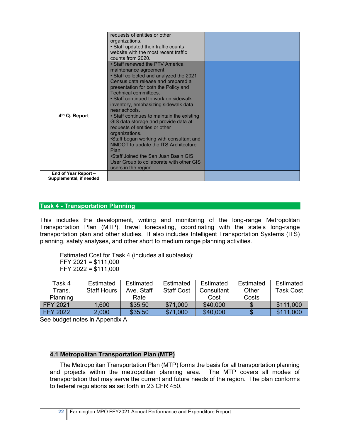|                                                 | requests of entities or other<br>organizations.<br>• Staff updated their traffic counts<br>website with the most recent traffic<br>counts from 2020.                                                                                                                                                                                                                                                                                                                                                                                                                                                                                                           |  |
|-------------------------------------------------|----------------------------------------------------------------------------------------------------------------------------------------------------------------------------------------------------------------------------------------------------------------------------------------------------------------------------------------------------------------------------------------------------------------------------------------------------------------------------------------------------------------------------------------------------------------------------------------------------------------------------------------------------------------|--|
| 4 <sup>th</sup> Q. Report                       | • Staff renewed the PTV America<br>maintenance agreement.<br>• Staff collected and analyzed the 2021<br>Census data release and prepared a<br>presentation for both the Policy and<br>Technical committees.<br>• Staff continued to work on sidewalk<br>inventory, emphasizing sidewalk data<br>near schools.<br>• Staff continues to maintain the existing<br>GIS data storage and provide data at<br>requests of entities or other<br>organizations.<br>•Staff began working with consultant and<br>NMDOT to update the ITS Architecture<br>Plan<br>•Staff Joined the San Juan Basin GIS<br>User Group to collaborate with other GIS<br>users in the region. |  |
| End of Year Report -<br>Supplemental, if needed |                                                                                                                                                                                                                                                                                                                                                                                                                                                                                                                                                                                                                                                                |  |

#### **Task 4 - Transportation Planning**

This includes the development, writing and monitoring of the long-range Metropolitan Transportation Plan (MTP), travel forecasting, coordinating with the state's long-range transportation plan and other studies. It also includes Intelligent Transportation Systems (ITS) planning, safety analyses, and other short to medium range planning activities.

Estimated Cost for Task 4 (includes all subtasks): FFY 2021 = \$111,000 FFY 2022 = \$111,000

| Task 4          | Estimated   | Estimated  | Estimated         | Estimated  | Estimated | Estimated |
|-----------------|-------------|------------|-------------------|------------|-----------|-----------|
| Trans.          | Staff Hours | Ave. Staff | <b>Staff Cost</b> | Consultant | Other     | Task Cost |
| Planning        |             | Rate       |                   | Cost       | Costs     |           |
| <b>FFY 2021</b> | 1,600       | \$35.50    | \$71,000          | \$40,000   |           | \$111,000 |
| <b>FFY 2022</b> | 2,000       | \$35.50    | \$71,000          | \$40,000   |           | \$111,000 |

See budget notes in Appendix A

#### **4.1 Metropolitan Transportation Plan (MTP)**

The Metropolitan Transportation Plan (MTP) forms the basis for all transportation planning and projects within the metropolitan planning area. The MTP covers all modes of transportation that may serve the current and future needs of the region. The plan conforms to federal regulations as set forth in 23 CFR 450.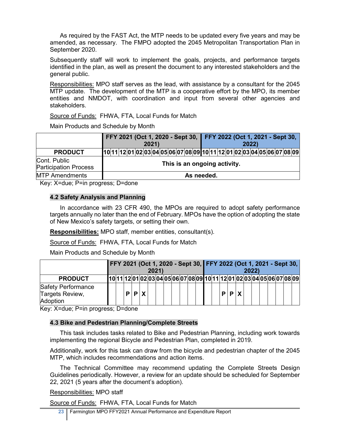As required by the FAST Act, the MTP needs to be updated every five years and may be amended, as necessary. The FMPO adopted the 2045 Metropolitan Transportation Plan in September 2020.

Subsequently staff will work to implement the goals, projects, and performance targets identified in the plan, as well as present the document to any interested stakeholders and the general public.

Responsibilities: MPO staff serves as the lead, with assistance by a consultant for the 2045 MTP update. The development of the MTP is a cooperative effort by the MPO, its member entities and NMDOT, with coordination and input from several other agencies and stakeholders.

Source of Funds: FHWA, FTA, Local Funds for Match

Main Products and Schedule by Month

|                                              | FFY 2021 (Oct 1, 2020 - Sept 30, FFY 2022 (Oct 1, 2021 - Sept 30,       |  | 2021) |                              |  |            |  |  |  | <b>2022</b> |  |  |  |
|----------------------------------------------|-------------------------------------------------------------------------|--|-------|------------------------------|--|------------|--|--|--|-------------|--|--|--|
| <b>PRODUCT</b>                               | 10 11 12 01 02 03 04 05 06 07 08 09 10 11 12 01 02 03 04 05 06 07 08 09 |  |       |                              |  |            |  |  |  |             |  |  |  |
| Cont. Public<br><b>Participation Process</b> |                                                                         |  |       | This is an ongoing activity. |  |            |  |  |  |             |  |  |  |
| <b>MTP Amendments</b>                        |                                                                         |  |       |                              |  | As needed. |  |  |  |             |  |  |  |

Key: X=due; P=in progress; D=done

## **4.2 Safety Analysis and Planning**

In accordance with 23 CFR 490, the MPOs are required to adopt safety performance targets annually no later than the end of February. MPOs have the option of adopting the state of New Mexico's safety targets, or setting their own.

**Responsibilities:** MPO staff, member entities, consultant(s).

Source of Funds: FHWA, FTA, Local Funds for Match

Main Products and Schedule by Month

|                                                          |  |  |             | 2021 |  |  |  |  |   |                     |  | 2022 |  |  | FFY 2021 (Oct 1, 2020 - Sept 30, FFY 2022 (Oct 1, 2021 - Sept 30,       |
|----------------------------------------------------------|--|--|-------------|------|--|--|--|--|---|---------------------|--|------|--|--|-------------------------------------------------------------------------|
| <b>PRODUCT</b>                                           |  |  |             |      |  |  |  |  |   |                     |  |      |  |  | 10 11 12 01 02 03 04 05 06 07 08 09 10 11 12 01 02 03 04 05 06 07 08 09 |
| <b>Safety Performance</b><br>Targets Review,<br>Adoption |  |  | $P$ $P$ $X$ |      |  |  |  |  | D | $\vert$ P $\vert$ X |  |      |  |  |                                                                         |

Key: X=due; P=in progress; D=done

## **4.3 Bike and Pedestrian Planning/Complete Streets**

This task includes tasks related to Bike and Pedestrian Planning, including work towards implementing the regional Bicycle and Pedestrian Plan, completed in 2019.

Additionally, work for this task can draw from the bicycle and pedestrian chapter of the 2045 MTP, which includes recommendations and action items.

The Technical Committee may recommend updating the Complete Streets Design Guidelines periodically. However, a review for an update should be scheduled for September 22, 2021 (5 years after the document's adoption).

Responsibilities: MPO staff

Source of Funds: FHWA, FTA, Local Funds for Match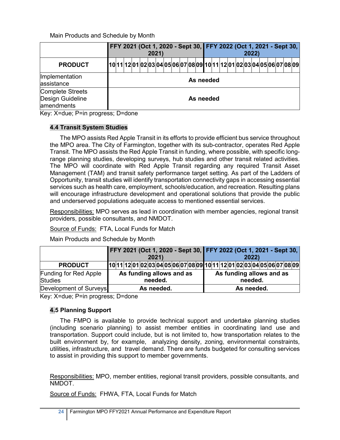Main Products and Schedule by Month

|                                                           | FFY 2021 (Oct 1, 2020 - Sept 30, FFY 2022 (Oct 1, 2021 - Sept 30,       |  | 2021) |  |  |           |  |  |  | 2022) |  |  |  |
|-----------------------------------------------------------|-------------------------------------------------------------------------|--|-------|--|--|-----------|--|--|--|-------|--|--|--|
| <b>PRODUCT</b>                                            | 10 11 12 01 02 03 04 05 06 07 08 09 10 11 12 01 02 03 04 05 06 07 08 09 |  |       |  |  |           |  |  |  |       |  |  |  |
| Implementation<br>assistance                              |                                                                         |  |       |  |  | As needed |  |  |  |       |  |  |  |
| <b>Complete Streets</b><br>Design Guideline<br>amendments |                                                                         |  |       |  |  | As needed |  |  |  |       |  |  |  |

Key: X=due; P=in progress; D=done

## **4.4 Transit System Studies**

The MPO assists Red Apple Transit in its efforts to provide efficient bus service throughout the MPO area. The City of Farmington, together with its sub-contractor, operates Red Apple Transit. The MPO assists the Red Apple Transit in funding, where possible, with specific longrange planning studies, developing surveys, hub studies and other transit related activities. The MPO will coordinate with Red Apple Transit regarding any required Transit Asset Management (TAM) and transit safety performance target setting. As part of the Ladders of Opportunity, transit studies will identify transportation connectivity gaps in accessing essential services such as health care, employment, schools/education, and recreation. Resulting plans will encourage infrastructure development and operational solutions that provide the public and underserved populations adequate access to mentioned essential services.

Responsibilities: MPO serves as lead in coordination with member agencies, regional transit providers, possible consultants, and NMDOT.

Source of Funds: FTA, Local Funds for Match

Main Products and Schedule by Month

|                                                | FFY 2021 (Oct 1, 2020 - Sept 30, FFY 2022 (Oct 1, 2021 - Sept 30,<br>2021<br>As funding allows and as |  |  |  |  |  |            |  |  |  |  |  |  |                          |            |         | 2022) |  |  |  |
|------------------------------------------------|-------------------------------------------------------------------------------------------------------|--|--|--|--|--|------------|--|--|--|--|--|--|--------------------------|------------|---------|-------|--|--|--|
| <b>PRODUCT</b>                                 |                                                                                                       |  |  |  |  |  |            |  |  |  |  |  |  |                          |            |         |       |  |  |  |
| <b>Funding for Red Apple</b><br><b>Studies</b> | 10 11 12 01 02 03 04 05 06 07 08 09 10 11 12 01 02 03 04 05 06 07 08 09 <br>needed.                   |  |  |  |  |  |            |  |  |  |  |  |  | As funding allows and as |            | needed. |       |  |  |  |
| Development of Surveys                         |                                                                                                       |  |  |  |  |  | As needed. |  |  |  |  |  |  |                          | As needed. |         |       |  |  |  |

Key: X=due; P=in progress; D=done

## **4.5 Planning Support**

The FMPO is available to provide technical support and undertake planning studies (including scenario planning) to assist member entities in coordinating land use and transportation. Support could include, but is not limited to, how transportation relates to the built environment by, for example, analyzing density, zoning, environmental constraints, utilities, infrastructure, and travel demand. There are funds budgeted for consulting services to assist in providing this support to member governments.

Responsibilities: MPO, member entities, regional transit providers, possible consultants, and NMDOT.

Source of Funds: FHWA, FTA, Local Funds for Match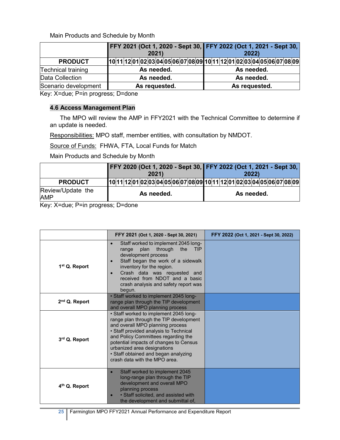Main Products and Schedule by Month

|                      | FFY 2021 (Oct 1, 2020 - Sept 30, FFY 2022 (Oct 1, 2021 - Sept 30,<br>2021 | 2022          |
|----------------------|---------------------------------------------------------------------------|---------------|
| <b>PRODUCT</b>       | 10 11 12 01 02 03 04 05 06 07 08 09 10 11 12 01 02 03 04 05 06 07 08 09   |               |
| Technical training   | As needed.                                                                | As needed.    |
| Data Collection      | As needed.                                                                | As needed.    |
| Scenario development | As requested.                                                             | As requested. |

Key: X=due; P=in progress; D=done

#### **4.6 Access Management Plan**

The MPO will review the AMP in FFY2021 with the Technical Committee to determine if an update is needed.

Responsibilities: MPO staff, member entities, with consultation by NMDOT.

Source of Funds: FHWA, FTA, Local Funds for Match

Main Products and Schedule by Month

|                                 |  |  |  | 2021) |            | FFY 2020 (Oct 1, 2020 - Sept 30, FFY 2022 (Oct 1, 2021 - Sept 30,       |  |  |  |  |            | 2022 |  |  |  |
|---------------------------------|--|--|--|-------|------------|-------------------------------------------------------------------------|--|--|--|--|------------|------|--|--|--|
| <b>PRODUCT</b>                  |  |  |  |       |            | 10 11 12 01 02 03 04 05 06 07 08 09 10 11 12 01 02 03 04 05 06 07 08 09 |  |  |  |  |            |      |  |  |  |
| Review/Update the<br><b>AMP</b> |  |  |  |       | As needed. |                                                                         |  |  |  |  | As needed. |      |  |  |  |

Key: X=due; P=in progress; D=done

|                           | FFY 2021 (Oct 1, 2020 - Sept 30, 2021)                                                                                                                                                                                                                                                                                                                  | FFY 2022 (Oct 1, 2021 - Sept 30, 2022) |
|---------------------------|---------------------------------------------------------------------------------------------------------------------------------------------------------------------------------------------------------------------------------------------------------------------------------------------------------------------------------------------------------|----------------------------------------|
| 1 <sup>st</sup> Q. Report | Staff worked to implement 2045 long-<br>$\bullet$<br>plan<br>through<br>the<br><b>TIP</b><br>range<br>development process<br>Staff began the work of a sidewalk<br>inventory for the region.<br>Crash data was requested and<br>received from NDOT and a basic<br>crash analysis and safety report was<br>begun.                                        |                                        |
| 2 <sup>nd</sup> Q. Report | • Staff worked to implement 2045 long-<br>range plan through the TIP development<br>and overall MPO planning process                                                                                                                                                                                                                                    |                                        |
| 3rd Q. Report             | • Staff worked to implement 2045 long-<br>range plan through the TIP development<br>and overall MPO planning process<br>• Staff provided analysis to Technical<br>and Policy Committees regarding the<br>potential impacts of changes to Census<br>urbanized area designations<br>• Staff obtained and began analyzing<br>crash data with the MPO area. |                                        |
| 4 <sup>th</sup> Q. Report | Staff worked to implement 2045<br>long-range plan through the TIP<br>development and overall MPO<br>planning process<br>· Staff solicited, and assisted with<br>the development and submittal of,                                                                                                                                                       |                                        |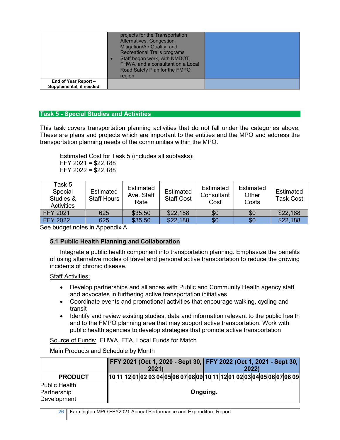| Alternatives, Congestion<br>Mitigation/Air Quality, and<br><b>Recreational Trails programs</b><br>Staff began work, with NMDOT,<br>FHWA, and a consultant on a Local<br>Road Safety Plan for the FMPO<br>region |  |
|-----------------------------------------------------------------------------------------------------------------------------------------------------------------------------------------------------------------|--|
|                                                                                                                                                                                                                 |  |
|                                                                                                                                                                                                                 |  |

## **Task 5 - Special Studies and Activities**

This task covers transportation planning activities that do not fall under the categories above. These are plans and projects which are important to the entities and the MPO and address the transportation planning needs of the communities within the MPO.

Estimated Cost for Task 5 (includes all subtasks): FFY 2021 = \$22,188 FFY 2022 = \$22,188

| Task 5<br>Special<br>Studies &<br><b>Activities</b> | Estimated<br><b>Staff Hours</b> | Estimated<br>Ave. Staff<br>Rate | Estimated<br><b>Staff Cost</b> | Estimated<br>Consultant<br>Cost | Estimated<br>Other<br>Costs | Estimated<br>Task Cost |
|-----------------------------------------------------|---------------------------------|---------------------------------|--------------------------------|---------------------------------|-----------------------------|------------------------|
| <b>FFY 2021</b>                                     | 625                             | \$35.50                         | \$22,188                       | \$0                             | \$0                         | \$22,188               |
| <b>FFY 2022</b>                                     | 625                             | \$35.50                         | \$22,188                       | \$0                             | \$0                         | \$22,188               |

See budget notes in Appendix A

## **5.1 Public Health Planning and Collaboration**

Integrate a public health component into transportation planning. Emphasize the benefits of using alternative modes of travel and personal active transportation to reduce the growing incidents of chronic disease.

#### Staff Activities:

- Develop partnerships and alliances with Public and Community Health agency staff and advocates in furthering active transportation initiatives
- Coordinate events and promotional activities that encourage walking, cycling and transit
- Identify and review existing studies, data and information relevant to the public health and to the FMPO planning area that may support active transportation. Work with public health agencies to develop strategies that promote active transportation

Source of Funds: FHWA, FTA, Local Funds for Match

Main Products and Schedule by Month

|                      |  |  | 2021) | FFY 2021 (Oct 1, 2020 - Sept 30, FFY 2022 (Oct 1, 2021 - Sept 30,       |          |  |  | 2022 |  |  |  |
|----------------------|--|--|-------|-------------------------------------------------------------------------|----------|--|--|------|--|--|--|
| <b>PRODUCT</b>       |  |  |       | 10 11 12 01 02 03 04 05 06 07 08 09 10 11 12 01 02 03 04 05 06 07 08 09 |          |  |  |      |  |  |  |
| <b>Public Health</b> |  |  |       |                                                                         |          |  |  |      |  |  |  |
| Partnership          |  |  |       |                                                                         | Ongoing. |  |  |      |  |  |  |
| Development          |  |  |       |                                                                         |          |  |  |      |  |  |  |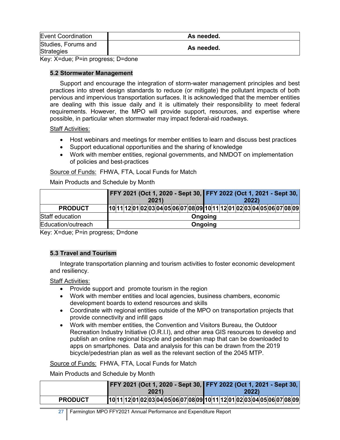| <b>Event Coordination</b>                | As needed. |
|------------------------------------------|------------|
| Studies, Forums and<br><b>Strategies</b> | As needed. |

Key: X=due; P=in progress; D=done

#### **5.2 Stormwater Management**

Support and encourage the integration of storm-water management principles and best practices into street design standards to reduce (or mitigate) the pollutant impacts of both pervious and impervious transportation surfaces. It is acknowledged that the member entities are dealing with this issue daily and it is ultimately their responsibility to meet federal requirements. However, the MPO will provide support, resources, and expertise where possible, in particular when stormwater may impact federal-aid roadways.

#### Staff Activities:

- Host webinars and meetings for member entities to learn and discuss best practices
- Support educational opportunities and the sharing of knowledge
- Work with member entities, regional governments, and NMDOT on implementation of policies and best-practices

## Source of Funds: FHWA, FTA, Local Funds for Match

Main Products and Schedule by Month

|                    |                          | FFY 2021 (Oct 1, 2020 - Sept 30, FFY 2022 (Oct 1, 2021 - Sept 30,       |
|--------------------|--------------------------|-------------------------------------------------------------------------|
|                    | 2021)                    | 2022)                                                                   |
| <b>PRODUCT</b>     |                          | 10 11 12 01 02 03 04 05 06 07 08 09 10 11 12 01 02 03 04 05 06 07 08 09 |
| Staff education    |                          | Ongoing                                                                 |
| Education/outreach |                          | Ongoing                                                                 |
| $\mathbf{r}$       | $\overline{\phantom{a}}$ |                                                                         |

Key: X=due; P=in progress; D=done

## **5.3 Travel and Tourism**

Integrate transportation planning and tourism activities to foster economic development and resiliency.

Staff Activities:

- Provide support and promote tourism in the region
- Work with member entities and local agencies, business chambers, economic development boards to extend resources and skills
- Coordinate with regional entities outside of the MPO on transportation projects that provide connectivity and infill gaps
- Work with member entities, the Convention and Visitors Bureau, the Outdoor Recreation Industry Initiative (O.R.I.I), and other area GIS resources to develop and publish an online regional bicycle and pedestrian map that can be downloaded to apps on smartphones. Data and analysis for this can be drawn from the 2019 bicycle/pedestrian plan as well as the relevant section of the 2045 MTP.

Source of Funds: FHWA, FTA, Local Funds for Match

Main Products and Schedule by Month

|                | FFY 2021 (Oct 1, 2020 - Sept 30, FFY 2022 (Oct 1, 2021 - Sept 30,          |       |
|----------------|----------------------------------------------------------------------------|-------|
|                | 2021)                                                                      | 2022) |
| <b>PRODUCT</b> | $10 11 12 01 02 03 04 05 06 07 08 09 10 11 12 01 02 03 04 05 06 07 08 09 $ |       |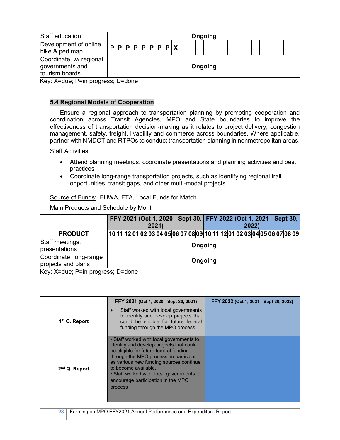| Staff education                                             |  |  |  |  |  | Ongoing |  |  |  |  |  |  |  |
|-------------------------------------------------------------|--|--|--|--|--|---------|--|--|--|--|--|--|--|
| Development of online<br>bike & ped map                     |  |  |  |  |  |         |  |  |  |  |  |  |  |
| Coordinate w/ regional<br>governments and<br>tourism boards |  |  |  |  |  | Ongoing |  |  |  |  |  |  |  |

Key: X=due; P=in progress; D=done

## **5.4 Regional Models of Cooperation**

Ensure a regional approach to transportation planning by promoting cooperation and coordination across Transit Agencies, MPO and State boundaries to improve the effectiveness of transportation decision-making as it relates to project delivery, congestion management, safety, freight, livability and commerce across boundaries. Where applicable, partner with NMDOT and RTPOs to conduct transportation planning in nonmetropolitan areas.

#### Staff Activities:

- Attend planning meetings, coordinate presentations and planning activities and best practices
- Coordinate long-range transportation projects, such as identifying regional trail opportunities, transit gaps, and other multi-modal projects

#### Source of Funds: FHWA, FTA, Local Funds for Match

Main Products and Schedule by Month

|                                             |                          |  |  | 2021) |  | FFY 2021 (Oct 1, 2020 - Sept 30, FFY 2022 (Oct 1, 2021 - Sept 30,        |  |  |         |  |  | 2022 |  |  |  |
|---------------------------------------------|--------------------------|--|--|-------|--|--------------------------------------------------------------------------|--|--|---------|--|--|------|--|--|--|
| <b>PRODUCT</b>                              |                          |  |  |       |  | [10 11 12 01 02 03 04 05 06 07 08 09 10 11 12 01 02 03 04 05 06 07 08 09 |  |  |         |  |  |      |  |  |  |
| Staff meetings,<br>presentations            |                          |  |  |       |  |                                                                          |  |  | Ongoing |  |  |      |  |  |  |
| Coordinate long-range<br>projects and plans |                          |  |  |       |  |                                                                          |  |  | Ongoing |  |  |      |  |  |  |
| $\sim$ $\sim$ $\sim$                        | $\overline{\phantom{a}}$ |  |  |       |  |                                                                          |  |  |         |  |  |      |  |  |  |

Key: X=due; P=in progress; D=done

|                           | FFY 2021 (Oct 1, 2020 - Sept 30, 2021)                                                                                                                                                                                                                                                                                                   | FFY 2022 (Oct 1, 2021 - Sept 30, 2022) |
|---------------------------|------------------------------------------------------------------------------------------------------------------------------------------------------------------------------------------------------------------------------------------------------------------------------------------------------------------------------------------|----------------------------------------|
| 1 <sup>st</sup> Q. Report | Staff worked with local governments<br>to identify and develop projects that<br>could be eligible for future federal<br>funding through the MPO process                                                                                                                                                                                  |                                        |
| $2nd$ Q. Report           | • Staff worked with local governments to<br>identify and develop projects that could<br>be eligible for future federal funding<br>through the MPO process, in particular<br>as various new funding sources continue<br>to become available.<br>• Staff worked with local governments to<br>encourage participation in the MPO<br>process |                                        |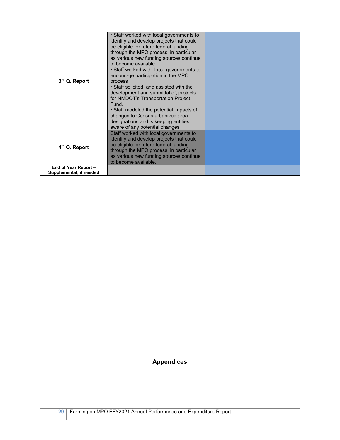| 3rd Q. Report                                   | • Staff worked with local governments to<br>identify and develop projects that could<br>be eligible for future federal funding<br>through the MPO process, in particular<br>as various new funding sources continue<br>to become available.<br>• Staff worked with local governments to<br>encourage participation in the MPO<br>process<br>• Staff solicited, and assisted with the<br>development and submittal of, projects<br>for NMDOT's Transportation Project<br>Fund.<br>• Staff modeled the potential impacts of<br>changes to Census urbanized area<br>designations and is keeping entities<br>aware of any potential changes |  |
|-------------------------------------------------|-----------------------------------------------------------------------------------------------------------------------------------------------------------------------------------------------------------------------------------------------------------------------------------------------------------------------------------------------------------------------------------------------------------------------------------------------------------------------------------------------------------------------------------------------------------------------------------------------------------------------------------------|--|
| 4 <sup>th</sup> Q. Report                       | Staff worked with local governments to<br>identify and develop projects that could<br>be eligible for future federal funding<br>through the MPO process, in particular<br>as various new funding sources continue<br>to become available.                                                                                                                                                                                                                                                                                                                                                                                               |  |
| End of Year Report -<br>Supplemental, if needed |                                                                                                                                                                                                                                                                                                                                                                                                                                                                                                                                                                                                                                         |  |

## **Appendices**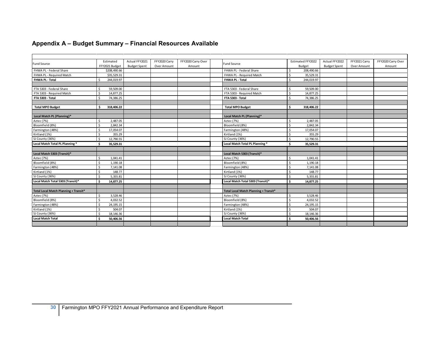## **Appendix A – Budget Summary – Financial Resources Available**

| <b>Fund Source</b>                    | Estimated                  | Actual FFY2021      | FFY2020 Carry | FFY2020 Carry Over | <b>Fund Source</b>                    | Estimated FFY2022 | Actual FFY2022      | FFY2021 Carry | FFY2020 Carry Over |
|---------------------------------------|----------------------------|---------------------|---------------|--------------------|---------------------------------------|-------------------|---------------------|---------------|--------------------|
|                                       | FFY2021 Budget             | <b>Budget Spent</b> | Over Amount   | Amount             |                                       | Budget            | <b>Budget Spent</b> | Over Amount   | Amount             |
| FHWA PL - Federal Share               | \$208,490.66               |                     |               |                    | FHWA PL - Federal Share               | 208,490.66        |                     |               |                    |
| FHWA PL - Required Match              | \$35.529.31                |                     |               |                    | FHWA PL - Required Match              | 35,529.31         |                     |               |                    |
| FHWA PL - Total                       | 244.019.97                 |                     |               |                    | FHWA PL - Total                       | 244,019.97        |                     |               |                    |
|                                       |                            |                     |               |                    |                                       |                   |                     |               |                    |
| FTA 5303 - Federal Share              | 59,509.00                  |                     |               |                    | FTA 5303 - Federal Share              | 59,509.00         |                     |               |                    |
| FTA 5303 - Required Match             | 14,877.25                  |                     |               |                    | FTA 5303 - Required Match             | 14,877.25         |                     |               |                    |
| FTA 5303 - Total                      | 74,386.25                  |                     |               |                    | FTA 5303 - Total                      | 74,386.25         |                     |               |                    |
|                                       |                            |                     |               |                    |                                       |                   |                     |               |                    |
| <b>Total MPO Budget</b>               | 318,406.22<br>¢            |                     |               |                    | <b>Total MPO Budget</b>               | 318,406.22        |                     |               |                    |
|                                       |                            |                     |               |                    |                                       |                   |                     |               |                    |
| Local Match PL (Planning)*            |                            |                     |               |                    | Local Match PL (Planning)*            |                   |                     |               |                    |
| Aztec (7%)                            | 2,487.05<br>Ś              |                     |               |                    | Aztec (7%)                            | 2.487.05          |                     |               |                    |
| Bloomfield (8%)                       | ς<br>2,842.34              |                     |               |                    | Bloomfield (8%)                       | 2.842.34          |                     |               |                    |
| Farmington (48%)                      | Ś<br>17,054.07             |                     |               |                    | Farmington (48%)                      | 17,054.07         |                     |               |                    |
| Kirtland (1%)                         |                            | 355.29              |               |                    | Kirtland (1%)                         | 355.29            |                     |               |                    |
| SJ County (36%)                       | <sup>\$</sup><br>12,790.55 |                     |               |                    | SJ County (36%)                       | 12,790.55<br>Ŝ.   |                     |               |                    |
| Local Match Total PL Planning *       | - Ś<br>35,529.31           |                     |               |                    | Local Match Total PL Planning *       | 35,529.31<br>Ŝ.   |                     |               |                    |
|                                       |                            |                     |               |                    |                                       |                   |                     |               |                    |
| Local Match 5303 (Transit)*           |                            |                     |               |                    | Local Match 5303 (Transit)*           |                   |                     |               |                    |
| Aztec (7%)                            | 1,041.41                   |                     |               |                    | Aztec (7%)                            | 1.041.41          |                     |               |                    |
| Bloomfield (8%)                       | 1,190.18<br>ς.             |                     |               |                    | Bloomfield (8%)                       | 1.190.18          |                     |               |                    |
| Farmington (48%)                      | ς.                         | 7.141.08            |               |                    | Farmington (48%)                      | 7.141.08          |                     |               |                    |
| Kirtland (1%)                         |                            | 148.77              |               |                    | Kirtland (1%)                         | 148.77            |                     |               |                    |
| SJ County (36%)                       | Ś<br>5,355.81              |                     |               |                    | SJ County (36%)                       | 5,355.81          |                     |               |                    |
| Local Match Total 5303 (Transit)*     | Ŝ.<br>14,877.25            |                     |               |                    | Local Match Total 5303 (Transit)*     | 14.877.25<br>Ŝ.   |                     |               |                    |
|                                       |                            |                     |               |                    |                                       |                   |                     |               |                    |
| Total Local Match Planning + Transit* |                            |                     |               |                    | Total Local Match Planning + Transit* |                   |                     |               |                    |
| Aztec (7%)                            | 3,528.46                   |                     |               |                    | Aztec (7%)                            | 3,528.46          |                     |               |                    |
| Bloomfield (8%)                       | Ś<br>4,032.52              |                     |               |                    | Bloomfield (8%)                       | 4,032.52          |                     |               |                    |
| Farmington (48%)                      | 24, 195. 15                |                     |               |                    | Farmington (48%)                      | 24, 195. 15       |                     |               |                    |
| Kirtland (1%)                         |                            | 504.07              |               |                    | Kirtland (1%)                         | 504.07            |                     |               |                    |
| SJ County (36%)                       | 18,146.36                  |                     |               |                    | SJ County (36%)                       | 18,146.36         |                     |               |                    |
| <b>Local Match Total</b>              | 50,406.56                  |                     |               |                    | <b>Local Match Total</b>              | 50,406.56<br>Ŝ.   |                     |               |                    |
|                                       |                            |                     |               |                    |                                       |                   |                     |               |                    |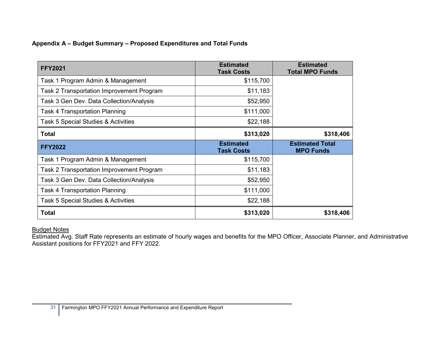## **Appendix A – Budget Summary – Proposed Expenditures and Total Funds**

| <b>FFY2021</b>                            | <b>Estimated</b><br><b>Task Costs</b> | <b>Estimated</b><br><b>Total MPO Funds</b> |
|-------------------------------------------|---------------------------------------|--------------------------------------------|
| Task 1 Program Admin & Management         | \$115,700                             |                                            |
| Task 2 Transportation Improvement Program | \$11,183                              |                                            |
| Task 3 Gen Dev. Data Collection/Analysis  | \$52,950                              |                                            |
| <b>Task 4 Transportation Planning</b>     | \$111,000                             |                                            |
| Task 5 Special Studies & Activities       | \$22,188                              |                                            |
| <b>Total</b>                              | \$313,020                             | \$318,406                                  |
|                                           |                                       |                                            |
| <b>FFY2022</b>                            | <b>Estimated</b><br><b>Task Costs</b> | <b>Estimated Total</b><br><b>MPO Funds</b> |
| Task 1 Program Admin & Management         | \$115,700                             |                                            |
| Task 2 Transportation Improvement Program | \$11,183                              |                                            |
| Task 3 Gen Dev. Data Collection/Analysis  | \$52,950                              |                                            |
| <b>Task 4 Transportation Planning</b>     | \$111,000                             |                                            |
| Task 5 Special Studies & Activities       | \$22,188                              |                                            |

#### Budget Notes

Estimated Avg. Staff Rate represents an estimate of hourly wages and benefits for the MPO Officer, Associate Planner, and Administrative Assistant positions for FFY2021 and FFY 2022.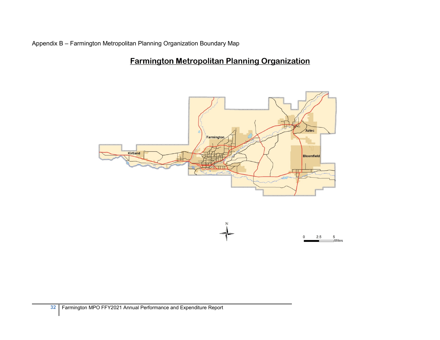Appendix B – Farmington Metropolitan Planning Organization Boundary Map

# **Farmington Metropolitan Planning Organization**



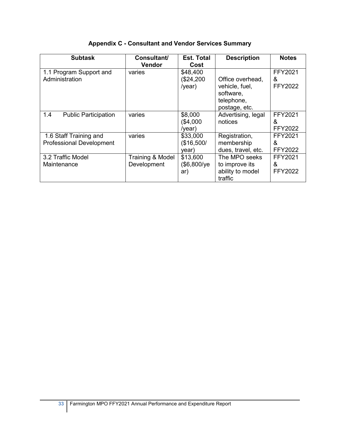| <b>Subtask</b>                                            | <b>Consultant/</b><br><b>Vendor</b> | <b>Est. Total</b><br>Cost        | <b>Description</b>                                                             | <b>Notes</b>                   |
|-----------------------------------------------------------|-------------------------------------|----------------------------------|--------------------------------------------------------------------------------|--------------------------------|
| 1.1 Program Support and<br>Administration                 | varies                              | \$48,400<br>(\$24,200<br>/year)  | Office overhead,<br>vehicle, fuel,<br>software,<br>telephone,<br>postage, etc. | <b>FFY2021</b><br>&<br>FFY2022 |
| 1.4<br><b>Public Participation</b>                        | varies                              | \$8,000<br>(\$4,000<br>/year)    | Advertising, legal<br>notices                                                  | FFY2021<br>&<br>FFY2022        |
| 1.6 Staff Training and<br><b>Professional Development</b> | varies                              | \$33,000<br>(\$16,500/<br>vear)  | Registration,<br>membership<br>dues, travel, etc.                              | FFY2021<br>&<br>FFY2022        |
| 3.2 Traffic Model<br>Maintenance                          | Training & Model<br>Development     | \$13,600<br>$($6,800$ /ye<br>ar) | The MPO seeks<br>to improve its<br>ability to model<br>traffic                 | FFY2021<br>&<br><b>FFY2022</b> |

## **Appendix C - Consultant and Vendor Services Summary**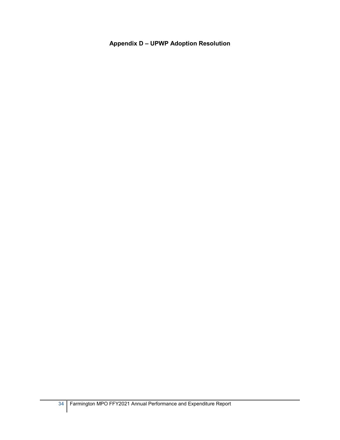## **Appendix D – UPWP Adoption Resolution**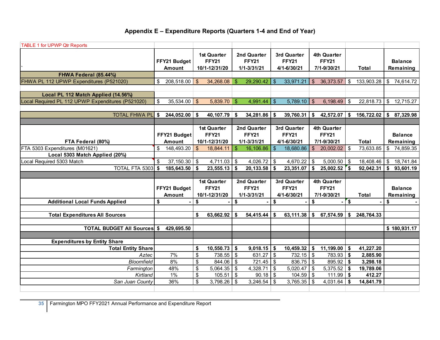## **Appendix E – Expenditure Reports (Quarters 1-4 and End of Year)**

| <b>TABLE 1 for UPWP Qtr Reports</b>               |                               |                         |                                              |                         |                                            |                         |                                            |                           |                                            |                         |              |                           |                             |
|---------------------------------------------------|-------------------------------|-------------------------|----------------------------------------------|-------------------------|--------------------------------------------|-------------------------|--------------------------------------------|---------------------------|--------------------------------------------|-------------------------|--------------|---------------------------|-----------------------------|
|                                                   | FFY21 Budget<br><b>Amount</b> |                         | 1st Quarter<br><b>FFY21</b><br>10/1-12/31/20 |                         | 2nd Quarter<br><b>FFY21</b><br>1/1-3/31/21 |                         | 3rd Quarter<br><b>FFY21</b><br>4/1-6/30/21 |                           | 4th Quarter<br><b>FFY21</b><br>7/1-9/30/21 |                         | Total        |                           | <b>Balance</b><br>Remaining |
| FHWA Federal (85.44%)                             |                               |                         |                                              |                         |                                            |                         |                                            |                           |                                            |                         |              |                           |                             |
| FHWA PL 112 UPWP Expenditures (P521020)           | \$<br>208,518.00              | $\$\$                   | 34,268.08                                    | \$                      | 29,290.42                                  | $\sqrt{2}$              | 33,971.21                                  |                           | 36,373.57                                  |                         | 133,903.28   |                           | 74,614.72                   |
|                                                   |                               |                         |                                              |                         |                                            |                         |                                            | \$                        |                                            | \$                      |              | \$                        |                             |
|                                                   |                               |                         |                                              |                         |                                            |                         |                                            |                           |                                            |                         |              |                           |                             |
| Local PL 112 Match Applied (14.56%)               | \$<br>$35,534.00$ \$          |                         |                                              |                         | 4,991.44                                   | $\sqrt[6]{\frac{1}{2}}$ |                                            |                           |                                            |                         |              |                           |                             |
| Local Required PL 112 UPWP Expenditures (P521020) |                               |                         | $5,839.70$ \$                                |                         |                                            |                         | 5,789.10                                   | $\sqrt[6]{\frac{1}{2}}$   | 6,198.49                                   | \$                      | 22,818.73    | \$                        | 12,715.27                   |
|                                                   |                               |                         |                                              |                         |                                            |                         |                                            |                           |                                            |                         |              |                           |                             |
| <b>TOTAL FHWA PL</b>                              | \$<br>244,052.00              | \$                      | 40,107.79                                    | \$                      | 34,281.86                                  | -\$                     | 39,760.31                                  | \$                        | 42,572.07                                  | \$                      | 156,722.02   | \$                        | 87,329.98                   |
|                                                   |                               |                         | 1st Quarter                                  |                         | 2nd Quarter                                |                         | 3rd Quarter                                |                           | 4th Quarter                                |                         |              |                           |                             |
|                                                   | FFY21 Budget                  |                         | <b>FFY21</b>                                 |                         | <b>FFY21</b>                               |                         | <b>FFY21</b>                               |                           | <b>FFY21</b>                               |                         |              |                           | <b>Balance</b>              |
|                                                   |                               |                         |                                              |                         |                                            |                         |                                            |                           |                                            |                         |              |                           |                             |
| FTA Federal (80%)                                 | <b>Amount</b>                 |                         | 10/1-12/31/20                                |                         | 1/1-3/31/21                                |                         | 4/1-6/30/21                                |                           | 7/1-9/30/21                                |                         | <b>Total</b> |                           | Remaining                   |
| FTA 5303 Expenditures (M01621)                    | \$<br>148,493.20              | $\frac{3}{2}$           | 18,844.11                                    | $\frac{1}{2}$           | 16,106.86                                  | \$                      | 18,680.86                                  | $\frac{3}{2}$             | 20,002.02                                  | \$                      | 73,633.85    | $\boldsymbol{\mathsf{S}}$ | 74,859.35                   |
| Local 5303 Match Applied (20%)                    |                               |                         |                                              |                         |                                            |                         |                                            |                           |                                            |                         |              |                           |                             |
| Local Required 5303 Match                         | \$<br>$37,150.30$ \$          |                         | 4,711.03                                     | $\sqrt[6]{3}$           | 4,026.72 $\frac{1}{9}$                     |                         | 4,670.22                                   | \$                        | $5,000.50$ \$                              |                         | 18,408.46    | \$                        | 18,741.84                   |
| <b>TOTAL FTA 5303 \$</b>                          | 185,643.50                    | $\overline{\bullet}$    | 23,555.13                                    | \$                      | $20,133.58$ \$                             |                         | 23,351.07                                  | \$                        | $25,002.52$ \$                             |                         | 92,042.31    | \$                        | 93,601.19                   |
|                                                   |                               |                         |                                              |                         |                                            |                         |                                            |                           |                                            |                         |              |                           |                             |
|                                                   |                               |                         | 1st Quarter                                  |                         | 2nd Quarter                                |                         | 3rd Quarter                                |                           | 4th Quarter                                |                         |              |                           |                             |
|                                                   | FFY21 Budget                  |                         | <b>FFY21</b>                                 |                         | <b>FFY21</b>                               |                         | <b>FFY21</b>                               |                           | <b>FFY21</b>                               |                         |              |                           | <b>Balance</b>              |
|                                                   | Amount                        |                         | 10/1-12/31/20                                |                         | 1/1-3/31/21                                |                         | 4/1-6/30/21                                |                           | 7/1-9/30/21                                |                         | Total        |                           | Remaining                   |
| <b>Additional Local Funds Applied</b>             | \$                            | \$                      |                                              | \$                      |                                            | \$                      |                                            | \$                        |                                            | $\sqrt{3}$              |              | \$                        |                             |
|                                                   |                               |                         |                                              |                         |                                            |                         |                                            |                           |                                            |                         |              |                           |                             |
| <b>Total Expenditures All Sources</b>             |                               | \$                      | 63,662.92                                    | \$                      | $54,415.44$ \\$                            |                         | 63,111.38                                  | $\frac{1}{2}$             | 67,574.59                                  | \$                      | 248,764.33   |                           |                             |
|                                                   |                               |                         |                                              |                         |                                            |                         |                                            |                           |                                            |                         |              |                           |                             |
| <b>TOTAL BUDGET AII Sources \$</b>                | 429,695.50                    |                         |                                              |                         |                                            |                         |                                            |                           |                                            |                         |              |                           | \$180,931.17                |
|                                                   |                               |                         |                                              |                         |                                            |                         |                                            |                           |                                            |                         |              |                           |                             |
| <b>Expenditures by Entity Share</b>               |                               |                         |                                              |                         |                                            |                         |                                            |                           |                                            |                         |              |                           |                             |
| <b>Total Entity Share</b>                         |                               | \$                      | 10,550.73                                    | $\vert \mathbf{\$}$     | $9,018.15$ \$                              |                         | 10,459.32                                  | \$                        | 11,199.00                                  | \$                      | 41,227.20    |                           |                             |
| Aztec                                             | 7%                            | $\overline{\mathbf{S}}$ | 738.55                                       | $\sqrt{3}$              | $631.27$ \$                                |                         | 732.15                                     | $\boldsymbol{\mathsf{S}}$ | 783.93                                     | $\sqrt[6]{\frac{1}{2}}$ | 2,885.90     |                           |                             |
| <b>Bloomfield</b>                                 | 8%                            | \$                      | 844.06                                       | $\overline{\mathbf{3}}$ | $721.45$ \$                                |                         | 836.75                                     | $\sqrt[6]{\frac{1}{2}}$   | 895.92                                     | \$                      | 3,298.18     |                           |                             |
| Farmington                                        | 48%                           | $\overline{\mathbf{s}}$ | 5,064.35                                     | \$                      | 4,328.71                                   | $\sqrt{3}$              | 5,020.47                                   | $\boldsymbol{\mathsf{S}}$ | 5,375.52                                   | \$                      | 19,789.06    |                           |                             |
| Kirtland                                          | 1%                            | $\overline{\mathbf{s}}$ | 105.51                                       | $\bullet$               | $90.18$ \$                                 |                         | 104.59                                     | $\boldsymbol{\mathsf{S}}$ | 111.99                                     | \$                      | 412.27       |                           |                             |
| San Juan County                                   | 36%                           | \$                      | 3,798.26                                     | \$                      | $3,246.54$ \$                              |                         | 3,765.35                                   | $\boldsymbol{\mathsf{S}}$ | 4,031.64                                   | \$                      | 14,841.79    |                           |                             |
|                                                   |                               |                         |                                              |                         |                                            |                         |                                            |                           |                                            |                         |              |                           |                             |

**35** Farmington MPO FFY2021 Annual Performance and Expenditure Report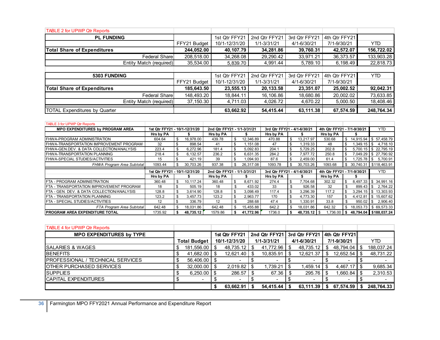| <b>TABLE 2 for UPWP Qtr Reports</b> |              |               |                 |               |               |            |
|-------------------------------------|--------------|---------------|-----------------|---------------|---------------|------------|
| <b>PL FUNDING</b>                   |              | 1st Qtr FFY21 | 2nd Qtr FFY21   | 3rd Qtr FFY21 | 4th Qtr FFY21 |            |
|                                     | FFY21 Budget | 10/1-12/31/20 | $1/1 - 3/31/21$ | 4/1-6/30/21   | 7/1-9/30/21   | YTD        |
| <b>Total Share of Expenditures</b>  | 244,052.00   | 40,107.79     | 34,281.86       | 39,760.31     | 42,572.07     | 156,722.02 |
| <b>Federal Share</b>                | 208,518.00   | 34,268.08     | 29,290.42       | 33,971.21     | 36,373.57     | 133,903.28 |
| Entity Match (required)             | 35,534.00    | 5,839.70      | 4,991.44        | 5,789.10      | 6,198.49      | 22,818.73  |
|                                     |              |               |                 |               |               |            |
| 5303 FUNDING                        |              | 1st Qtr FFY21 | 2nd Qtr FFY21   | 3rd Qtr FFY21 | 4th Qtr FFY21 | <b>YTD</b> |
|                                     | FFY21 Budget | 10/1-12/31/20 | $1/1 - 3/31/21$ | 4/1-6/30/21   |               |            |
|                                     |              |               |                 |               | 7/1-9/30/21   |            |
| <b>Total Share of Expenditures</b>  | 185,643.50   | 23,555.13     | 20,133.58       | 23,351.07     | 25,002.52     | 92,042.31  |
| <b>Federal Share</b>                | 148,493.20   | 18,844.11     | 16,106.86       | 18,680.86     | 20,002.02     | 73,633.85  |
| Entity Match (required)             | 37,150.30    | 4.711.03      | 4.026.72        | 4.670.22      | 5,000.50      | 18,408.46  |

| <b>TABLE 3 for UPWP Qtr Reports</b>        |                               |    |                             |                             |                             |           |                             |      |           |                             |            |                               |      |              |
|--------------------------------------------|-------------------------------|----|-----------------------------|-----------------------------|-----------------------------|-----------|-----------------------------|------|-----------|-----------------------------|------------|-------------------------------|------|--------------|
| <b>MPO EXPENDITURES by PROGRAM AREA</b>    | 1st Qtr FFY21 - 10/1-12/31/20 |    | 2nd Qtr FFY21 - 1/1-3/31/21 |                             | 3rd Qtr FFY21 - 4/1-6/30/21 |           | 4th Qtr FFY21 - 7/1-9/30/21 |      |           |                             | <b>YTD</b> |                               |      |              |
|                                            | Hrs by PA                     |    |                             | Hrs by PA                   |                             |           | Hrs by PA                   |      |           | Hrs by PA                   |            |                               |      |              |
| <b>FHWA-PROGRAM ADMINISTRATION</b>         | 604.64                        | \$ | 16,978.00                   | 439.78                      | \$                          | 12,346.89 | 470.88                      | \$   | 13,217.97 | 530.68                      | \$         | 14,915.94                     |      | \$57,458.79  |
| FHWA-TRANSPORTATION IMPROVEMENT PROGRAM    | 32                            | \$ | 898.54                      | -41                         | \$                          | .151.08   | 47                          | \$   | 1.319.33  | 48                          |            |                               |      | 4,718.10     |
| FHWA-GEN.DEV. & DATA COLLECTION/ANALYSIS   | 223.4                         | \$ | 6,272.96                    | 181.4                       | \$                          | 5,092.83  | 204.1                       | -\$  | 5,729.25  | 202.8                       |            | $5,700.15$ \$ 22,795.19       |      |              |
| FHWA-TRANSPORTATION PLANNING               | 218.4                         | \$ | 6.132.57                    | 236.2                       | \$                          | 6,631.35  | 284.2                       | -\$  | 7.977.72  | 250.8                       |            | 7,049.29 \$ 27,790.92         |      |              |
| <b>FHWA-SPECIAL STUDIES/ACTIVITIES</b>     | 15                            | \$ | 421.19                      | 39                          | -\$                         | 1,094.93  | 87.6                        | \$   | 2,459.00  | 61.4                        | \$         | $.725.78$ \ \$                |      | 5,700.91     |
| FHWA Program Area Subtotal                 | 1093.44                       | \$ | 30.703.26                   | 937.38                      | -S                          | 26,317.08 | 1093.78                     | \$   | 30,703.26 | 1093.68                     |            | $$30,740.31 \mid $118,463.91$ |      |              |
|                                            |                               |    |                             |                             |                             |           |                             |      |           |                             |            |                               |      |              |
|                                            | 1st Qtr FFY21 - 10/1-12/31/20 |    |                             | 2nd Qtr FFY21 - 1/1-3/31/21 |                             |           | 3rd Qtr FFY21 - 4/1-6/30/21 |      |           | 4th Qtr FFY21 - 7/1-9/30/21 |            |                               |      | <b>YTD</b>   |
|                                            | Hrs by PA                     |    |                             | Hrs by PA                   |                             |           | Hrs by PA                   |      |           | Hrs by PA                   |            |                               |      |              |
| FTA - PROGRAM ADMINISTRATION               | 360.48                        | \$ | 10.117.24                   | 360.48                      | \$                          | 8,671.92  | 274.4                       | - \$ | 7.704.68  | 302.32                      | \$         | 8.497.33                      |      | \$ 34,991.16 |
| FTA - TRANSPORTATION IMPROVEMENT PROGRAM   | 18                            | \$ | 505.19                      | 18                          | \$                          | 433.02    | 33                          | \$   | 926.58    | 32                          | \$         | $899.43$ \ \ \$               |      | 2,764.22     |
| FTA - GEN. DEV. & DATA COLLECTION/ANALYSIS | 128.8                         | \$ | 3,614.90                    | 128.8                       | -\$                         | 3,098.49  | 117.4                       | -\$  | 3,296.39  | 117.2                       |            | $3,294.15$ \ \$ 13,303.93     |      |              |
| FTA - TRANSPORTATION PLANNING              | 123.2                         | \$ | 3,457.73                    | 123.2                       | \$                          | 2,963.77  | 170                         | -\$  | 4,773.30  | 157                         | \$         | 4,412.81   \$ 15,607.62       |      |              |
| IFTA - SPECIAL STUDIES/ACTIVITIES          | 12                            | \$ | 336.79                      | 12                          | \$                          | 288.68    | 47.4                        | -\$  | .330.91   | 33.8                        | \$         | 950.02                        | l \$ | 2,906.40     |
| FTA Program Area Subtotal                  | 642.48                        | \$ | 18.031.86                   | 642.48                      | \$                          | 15.455.88 | 642.2                       | \$   | 18.031.86 | 642.32                      | \$         | 18,053.73 \$69,573.33         |      |              |

| <b>TABLE 4 for UPWP Qtr Reports</b>       |                     |                 |               |               |                 |                             |             |           |             |                   |      |            |
|-------------------------------------------|---------------------|-----------------|---------------|---------------|-----------------|-----------------------------|-------------|-----------|-------------|-------------------|------|------------|
| <b>MPO EXPENDITURES by TYPE</b>           |                     |                 |               | 1st Qtr FFY21 |                 | 2nd Qtr FFY21 3rd Qtr FFY21 |             |           |             | l 4th Qtr FFY21ll |      |            |
|                                           | <b>Total Budget</b> |                 | 10/1-12/31/20 |               | $1/1 - 3/31/21$ |                             | 4/1-6/30/21 |           | 7/1-9/30/21 |                   |      | <b>YTD</b> |
| <b>SALARIES &amp; WAGES</b>               | \$                  | 181,556.00      |               | 48,735.12     |                 | 41,772.96                   |             | 48,735.12 |             | 48.794.04         | - \$ | 188.037.24 |
| <b>BENEFITS</b>                           |                     | 41,682.00       |               | 12,621.40     |                 | 10,835.91                   |             | 12,621.37 |             | 12,652.54         |      | 48,731.22  |
| <b>IPROFESSIONAL / TECHNICAL SERVICES</b> | S                   | 56,406.00       |               |               |                 |                             |             |           |             |                   |      |            |
| <b>OTHER PURCHASED SERVICES</b>           | \$                  | 32,000.00       |               | 2,019.82      |                 | 1,739.21                    |             | 1,459.14  |             | $4.467.17$ S      |      | 9,685.34   |
| <b>SUPPLIES</b>                           |                     | $6,250.00$ \ \$ |               | $286.57$ \ \$ |                 | 67.36                       |             | 295.76    |             | ⊟.660.84 I        |      | 2,310.53   |
| <b>CAPITAL EXPENDITURES</b>               |                     |                 |               |               |                 |                             |             |           |             |                   |      |            |
|                                           |                     |                 |               | 63,662.91     |                 | 54.415.44                   |             | 63,111.39 |             | 67.574.59         |      | 248,764.33 |